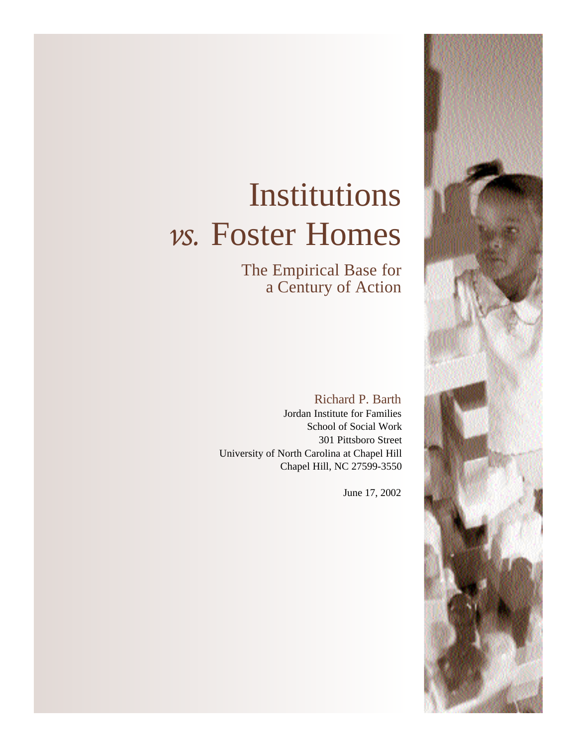# Institutions *vs.* Foster Homes

The Empirical Base for a Century of Action

Richard P. Barth Jordan Institute for Families School of Social Work 301 Pittsboro Street University of North Carolina at Chapel Hill Chapel Hill, NC 27599-3550

June 17, 2002

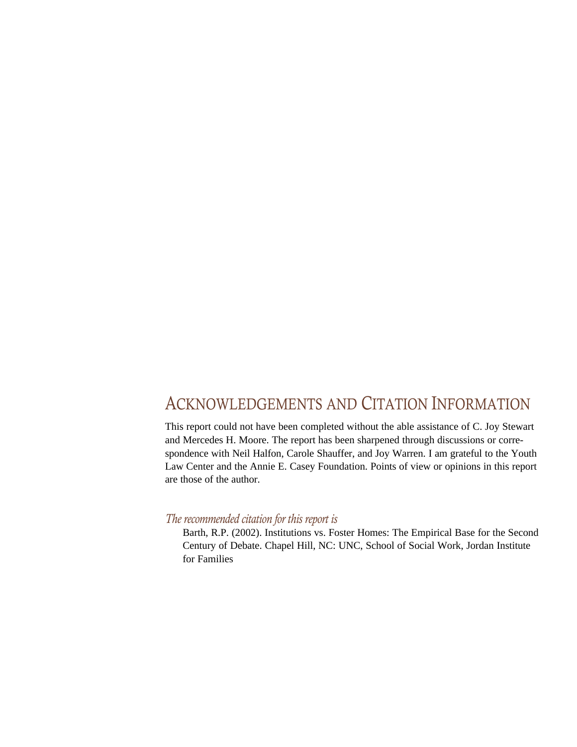# ACKNOWLEDGEMENTS AND CITATION INFORMATION

This report could not have been completed without the able assistance of C. Joy Stewart and Mercedes H. Moore. The report has been sharpened through discussions or correspondence with Neil Halfon, Carole Shauffer, and Joy Warren. I am grateful to the Youth Law Center and the Annie E. Casey Foundation. Points of view or opinions in this report are those of the author.

#### *The recommended citation for this report is*

Barth, R.P. (2002). Institutions vs. Foster Homes: The Empirical Base for the Second Century of Debate. Chapel Hill, NC: UNC, School of Social Work, Jordan Institute for Families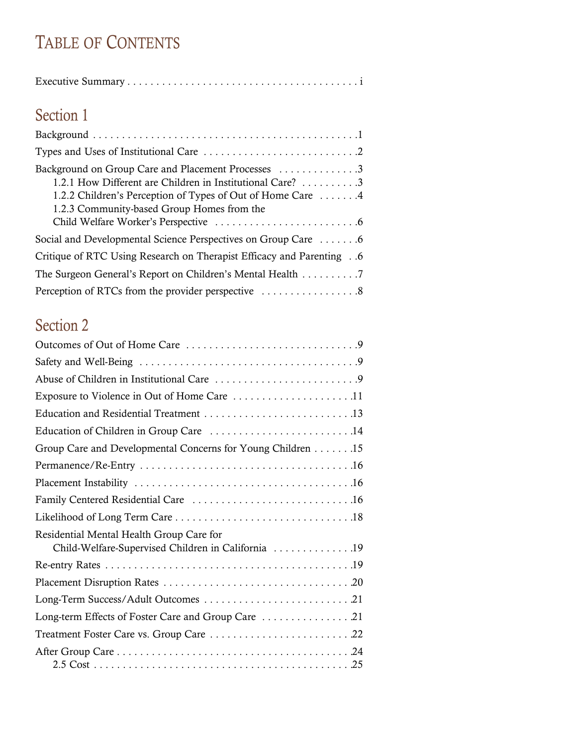# TABLE OF CONTENTS

| Section 1                                          |
|----------------------------------------------------|
|                                                    |
|                                                    |
| Background on Group Care and Placement Processes 3 |

| 1.2.1 How Different are Children in Institutional Care? 3                   |
|-----------------------------------------------------------------------------|
| 1.2.2 Children's Perception of Types of Out of Home Care 4                  |
| 1.2.3 Community-based Group Homes from the                                  |
|                                                                             |
| Social and Developmental Science Perspectives on Group Care 6               |
| <b>Critique of RTC Using Research on Therapist Efficacy and Parenting 6</b> |
| The Surgeon General's Report on Children's Mental Health 7                  |
|                                                                             |

# Section 2

| Group Care and Developmental Concerns for Young Children 15                                    |
|------------------------------------------------------------------------------------------------|
|                                                                                                |
|                                                                                                |
|                                                                                                |
|                                                                                                |
| Residential Mental Health Group Care for<br>Child-Welfare-Supervised Children in California 19 |
|                                                                                                |
|                                                                                                |
|                                                                                                |
|                                                                                                |
|                                                                                                |
|                                                                                                |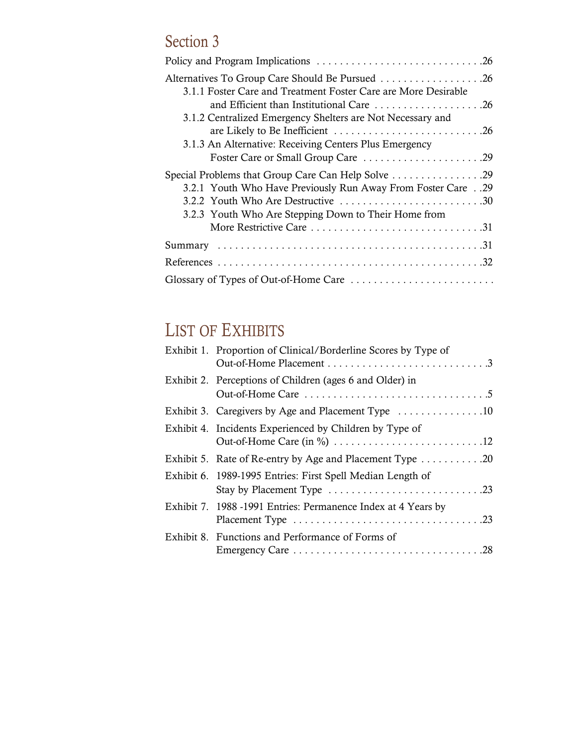# Section 3

| Alternatives To Group Care Should Be Pursued 26                |
|----------------------------------------------------------------|
| 3.1.1 Foster Care and Treatment Foster Care are More Desirable |
| and Efficient than Institutional Care 26                       |
| 3.1.2 Centralized Emergency Shelters are Not Necessary and     |
| are Likely to Be Inefficient 26                                |
| 3.1.3 An Alternative: Receiving Centers Plus Emergency         |
| Foster Care or Small Group Care 29                             |
| Special Problems that Group Care Can Help Solve 29             |
| 3.2.1 Youth Who Have Previously Run Away From Foster Care29    |
|                                                                |
| 3.2.3 Youth Who Are Stepping Down to Their Home from           |
|                                                                |
|                                                                |
|                                                                |
| Glossary of Types of Out-of-Home Care                          |

# LIST OF EXHIBITS

| Exhibit 1. Proportion of Clinical/Borderline Scores by Type of               |
|------------------------------------------------------------------------------|
| Exhibit 2. Perceptions of Children (ages 6 and Older) in                     |
| Exhibit 3. Caregivers by Age and Placement Type 10                           |
| Exhibit 4. Incidents Experienced by Children by Type of                      |
| Exhibit 5. Rate of Re-entry by Age and Placement Type $\dots \dots \dots 20$ |
| Exhibit 6. 1989-1995 Entries: First Spell Median Length of                   |
| Exhibit 7. 1988 -1991 Entries: Permanence Index at 4 Years by                |
| Exhibit 8. Functions and Performance of Forms of                             |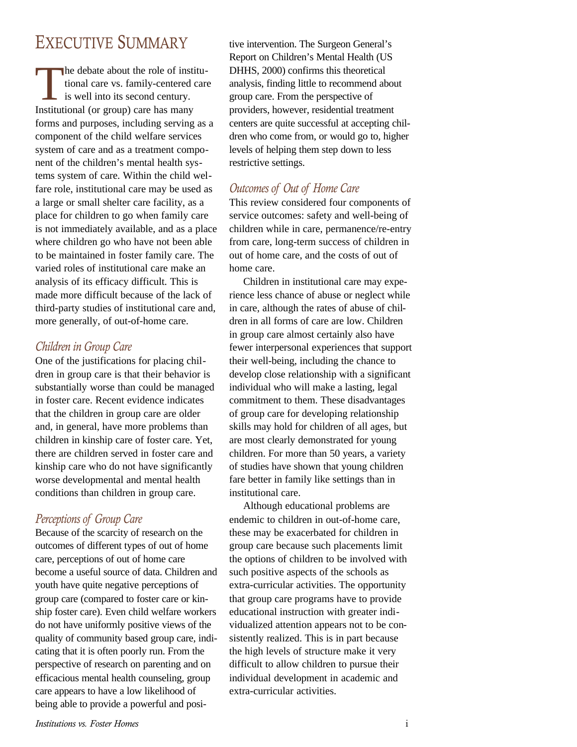# EXECUTIVE SUMMARY

 $\prod$ he debate about the role of institutional care vs. family-centered care is well into its second century. Institutional (or group) care has many forms and purposes, including serving as a component of the child welfare services system of care and as a treatment component of the children's mental health systems system of care. Within the child welfare role, institutional care may be used as a large or small shelter care facility, as a place for children to go when family care is not immediately available, and as a place where children go who have not been able to be maintained in foster family care. The varied roles of institutional care make an analysis of its efficacy difficult. This is made more difficult because of the lack of third-party studies of institutional care and, more generally, of out-of-home care.

#### *Children in Group Care*

One of the justifications for placing children in group care is that their behavior is substantially worse than could be managed in foster care. Recent evidence indicates that the children in group care are older and, in general, have more problems than children in kinship care of foster care. Yet, there are children served in foster care and kinship care who do not have significantly worse developmental and mental health conditions than children in group care.

#### *Perceptions of Group Care*

Because of the scarcity of research on the outcomes of different types of out of home care, perceptions of out of home care become a useful source of data. Children and youth have quite negative perceptions of group care (compared to foster care or kinship foster care). Even child welfare workers do not have uniformly positive views of the quality of community based group care, indicating that it is often poorly run. From the perspective of research on parenting and on efficacious mental health counseling, group care appears to have a low likelihood of being able to provide a powerful and positive intervention. The Surgeon General's Report on Children's Mental Health (US DHHS, 2000) confirms this theoretical analysis, finding little to recommend about group care. From the perspective of providers, however, residential treatment centers are quite successful at accepting children who come from, or would go to, higher levels of helping them step down to less restrictive settings.

#### *Outcomes of Out of Home Care*

This review considered four components of service outcomes: safety and well-being of children while in care, permanence/re-entry from care, long-term success of children in out of home care, and the costs of out of home care.

Children in institutional care may experience less chance of abuse or neglect while in care, although the rates of abuse of children in all forms of care are low. Children in group care almost certainly also have fewer interpersonal experiences that support their well-being, including the chance to develop close relationship with a significant individual who will make a lasting, legal commitment to them. These disadvantages of group care for developing relationship skills may hold for children of all ages, but are most clearly demonstrated for young children. For more than 50 years, a variety of studies have shown that young children fare better in family like settings than in institutional care.

Although educational problems are endemic to children in out-of-home care, these may be exacerbated for children in group care because such placements limit the options of children to be involved with such positive aspects of the schools as extra-curricular activities. The opportunity that group care programs have to provide educational instruction with greater individualized attention appears not to be consistently realized. This is in part because the high levels of structure make it very difficult to allow children to pursue their individual development in academic and extra-curricular activities.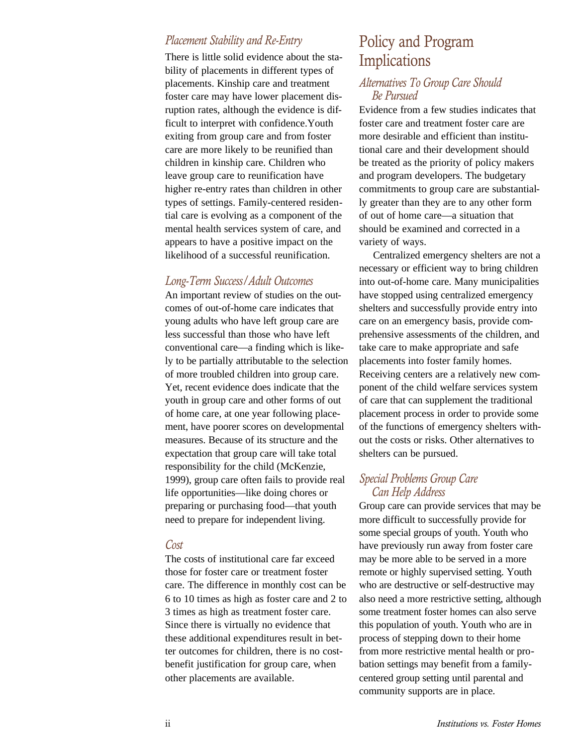#### *Placement Stability and Re-Entry*

There is little solid evidence about the stability of placements in different types of placements. Kinship care and treatment foster care may have lower placement disruption rates, although the evidence is difficult to interpret with confidence.Youth exiting from group care and from foster care are more likely to be reunified than children in kinship care. Children who leave group care to reunification have higher re-entry rates than children in other types of settings. Family-centered residential care is evolving as a component of the mental health services system of care, and appears to have a positive impact on the likelihood of a successful reunification.

#### *Long-Term Success/Adult Outcomes*

An important review of studies on the outcomes of out-of-home care indicates that young adults who have left group care are less successful than those who have left conventional care—a finding which is likely to be partially attributable to the selection of more troubled children into group care. Yet, recent evidence does indicate that the youth in group care and other forms of out of home care, at one year following placement, have poorer scores on developmental measures. Because of its structure and the expectation that group care will take total responsibility for the child (McKenzie, 1999), group care often fails to provide real life opportunities—like doing chores or preparing or purchasing food—that youth need to prepare for independent living.

#### *Cost*

The costs of institutional care far exceed those for foster care or treatment foster care. The difference in monthly cost can be 6 to 10 times as high as foster care and 2 to 3 times as high as treatment foster care. Since there is virtually no evidence that these additional expenditures result in better outcomes for children, there is no costbenefit justification for group care, when other placements are available.

## Policy and Program Implications

#### *Alternatives To Group Care Should Be Pursued*

Evidence from a few studies indicates that foster care and treatment foster care are more desirable and efficient than institutional care and their development should be treated as the priority of policy makers and program developers. The budgetary commitments to group care are substantially greater than they are to any other form of out of home care—a situation that should be examined and corrected in a variety of ways.

Centralized emergency shelters are not a necessary or efficient way to bring children into out-of-home care. Many municipalities have stopped using centralized emergency shelters and successfully provide entry into care on an emergency basis, provide comprehensive assessments of the children, and take care to make appropriate and safe placements into foster family homes. Receiving centers are a relatively new component of the child welfare services system of care that can supplement the traditional placement process in order to provide some of the functions of emergency shelters without the costs or risks. Other alternatives to shelters can be pursued.

#### *Special Problems Group Care Can Help Address*

Group care can provide services that may be more difficult to successfully provide for some special groups of youth. Youth who have previously run away from foster care may be more able to be served in a more remote or highly supervised setting. Youth who are destructive or self-destructive may also need a more restrictive setting, although some treatment foster homes can also serve this population of youth. Youth who are in process of stepping down to their home from more restrictive mental health or probation settings may benefit from a familycentered group setting until parental and community supports are in place.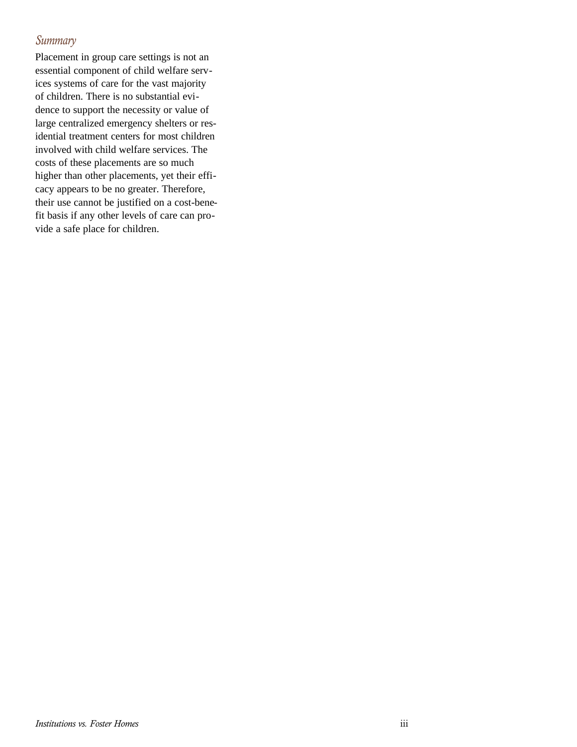#### *Summary*

Placement in group care settings is not an essential component of child welfare services systems of care for the vast majority of children. There is no substantial evidence to support the necessity or value of large centralized emergency shelters or residential treatment centers for most children involved with child welfare services. The costs of these placements are so much higher than other placements, yet their efficacy appears to be no greater. Therefore, their use cannot be justified on a cost-benefit basis if any other levels of care can provide a safe place for children.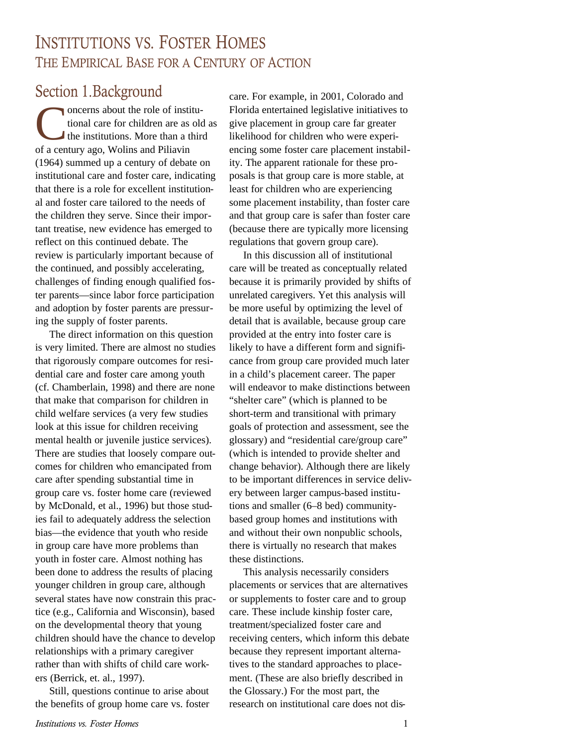# INSTITUTIONS VS. FOSTER HOMES THE EMPIRICAL BASE FOR A CENTURY OF ACTION

## Section 1.Background

Concerns about the role of inst<br>tional care for children are as<br>the institutions. More than a t<br>of a century ago, Wolins and Piliavin oncerns about the role of institutional care for children are as old as the institutions. More than a third (1964) summed up a century of debate on institutional care and foster care, indicating that there is a role for excellent institutional and foster care tailored to the needs of the children they serve. Since their important treatise, new evidence has emerged to reflect on this continued debate. The review is particularly important because of the continued, and possibly accelerating, challenges of finding enough qualified foster parents—since labor force participation and adoption by foster parents are pressuring the supply of foster parents.

The direct information on this question is very limited. There are almost no studies that rigorously compare outcomes for residential care and foster care among youth (cf. Chamberlain, 1998) and there are none that make that comparison for children in child welfare services (a very few studies look at this issue for children receiving mental health or juvenile justice services). There are studies that loosely compare outcomes for children who emancipated from care after spending substantial time in group care vs. foster home care (reviewed by McDonald, et al., 1996) but those studies fail to adequately address the selection bias—the evidence that youth who reside in group care have more problems than youth in foster care. Almost nothing has been done to address the results of placing younger children in group care, although several states have now constrain this practice (e.g., California and Wisconsin), based on the developmental theory that young children should have the chance to develop relationships with a primary caregiver rather than with shifts of child care workers (Berrick, et. al., 1997).

Still, questions continue to arise about the benefits of group home care vs. foster

care. For example, in 2001, Colorado and Florida entertained legislative initiatives to give placement in group care far greater likelihood for children who were experiencing some foster care placement instability. The apparent rationale for these proposals is that group care is more stable, at least for children who are experiencing some placement instability, than foster care and that group care is safer than foster care (because there are typically more licensing regulations that govern group care).

In this discussion all of institutional care will be treated as conceptually related because it is primarily provided by shifts of unrelated caregivers. Yet this analysis will be more useful by optimizing the level of detail that is available, because group care provided at the entry into foster care is likely to have a different form and significance from group care provided much later in a child's placement career. The paper will endeavor to make distinctions between "shelter care" (which is planned to be short-term and transitional with primary goals of protection and assessment, see the glossary) and "residential care/group care" (which is intended to provide shelter and change behavior). Although there are likely to be important differences in service delivery between larger campus-based institutions and smaller (6–8 bed) communitybased group homes and institutions with and without their own nonpublic schools, there is virtually no research that makes these distinctions.

This analysis necessarily considers placements or services that are alternatives or supplements to foster care and to group care. These include kinship foster care, treatment/specialized foster care and receiving centers, which inform this debate because they represent important alternatives to the standard approaches to placement. (These are also briefly described in the Glossary.) For the most part, the research on institutional care does not dis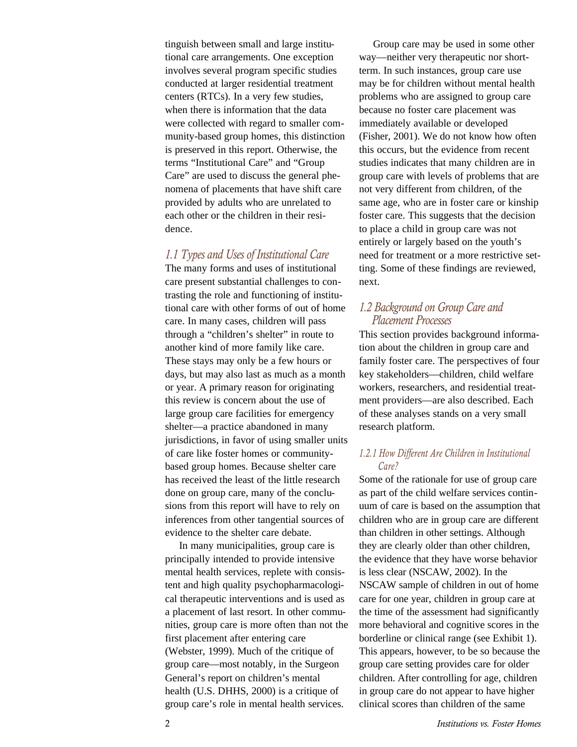tinguish between small and large institutional care arrangements. One exception involves several program specific studies conducted at larger residential treatment centers (RTCs). In a very few studies, when there is information that the data were collected with regard to smaller community-based group homes, this distinction is preserved in this report. Otherwise, the terms "Institutional Care" and "Group Care" are used to discuss the general phenomena of placements that have shift care provided by adults who are unrelated to each other or the children in their residence.

#### *1.1 Types and Uses of Institutional Care*

The many forms and uses of institutional care present substantial challenges to contrasting the role and functioning of institutional care with other forms of out of home care. In many cases, children will pass through a "children's shelter" in route to another kind of more family like care. These stays may only be a few hours or days, but may also last as much as a month or year. A primary reason for originating this review is concern about the use of large group care facilities for emergency shelter—a practice abandoned in many jurisdictions, in favor of using smaller units of care like foster homes or communitybased group homes. Because shelter care has received the least of the little research done on group care, many of the conclusions from this report will have to rely on inferences from other tangential sources of evidence to the shelter care debate.

In many municipalities, group care is principally intended to provide intensive mental health services, replete with consistent and high quality psychopharmacological therapeutic interventions and is used as a placement of last resort. In other communities, group care is more often than not the first placement after entering care (Webster, 1999). Much of the critique of group care—most notably, in the Surgeon General's report on children's mental health (U.S. DHHS, 2000) is a critique of group care's role in mental health services.

Group care may be used in some other way—neither very therapeutic nor shortterm. In such instances, group care use may be for children without mental health problems who are assigned to group care because no foster care placement was immediately available or developed (Fisher, 2001). We do not know how often this occurs, but the evidence from recent studies indicates that many children are in group care with levels of problems that are not very different from children, of the same age, who are in foster care or kinship foster care. This suggests that the decision to place a child in group care was not entirely or largely based on the youth's need for treatment or a more restrictive setting. Some of these findings are reviewed, next.

#### *1.2 Background on Group Care and Placement Processes*

This section provides background information about the children in group care and family foster care. The perspectives of four key stakeholders—children, child welfare workers, researchers, and residential treatment providers—are also described. Each of these analyses stands on a very small research platform.

#### *1.2.1 How Different Are Children in Institutional Care?*

Some of the rationale for use of group care as part of the child welfare services continuum of care is based on the assumption that children who are in group care are different than children in other settings. Although they are clearly older than other children, the evidence that they have worse behavior is less clear (NSCAW, 2002). In the NSCAW sample of children in out of home care for one year, children in group care at the time of the assessment had significantly more behavioral and cognitive scores in the borderline or clinical range (see Exhibit 1). This appears, however, to be so because the group care setting provides care for older children. After controlling for age, children in group care do not appear to have higher clinical scores than children of the same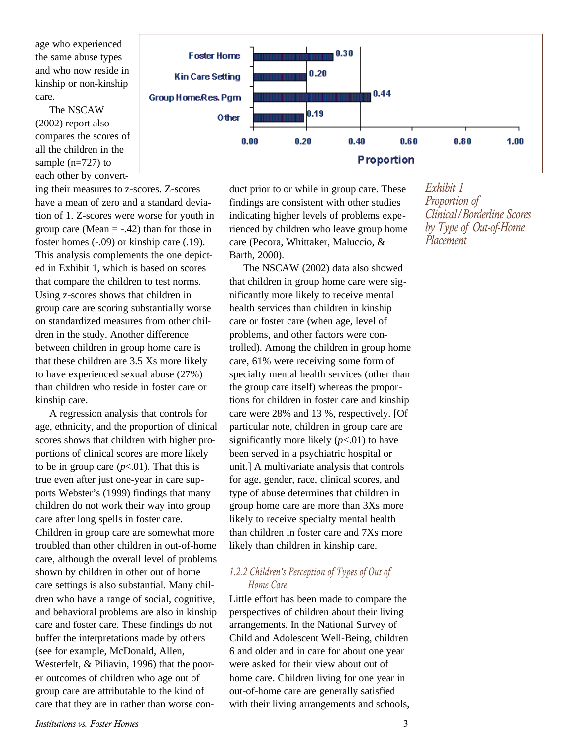age who experienced the same abuse types and who now reside in kinship or non-kinship care.

The NSCAW (2002) report also compares the scores of all the children in the sample (n=727) to each other by convert-

ing their measures to z-scores. Z-scores have a mean of zero and a standard deviation of 1. Z-scores were worse for youth in group care (Mean  $= -0.42$ ) than for those in foster homes (-.09) or kinship care (.19). This analysis complements the one depicted in Exhibit 1, which is based on scores that compare the children to test norms. Using z-scores shows that children in group care are scoring substantially worse on standardized measures from other children in the study. Another difference between children in group home care is that these children are 3.5 Xs more likely to have experienced sexual abuse (27%) than children who reside in foster care or kinship care.

A regression analysis that controls for age, ethnicity, and the proportion of clinical scores shows that children with higher proportions of clinical scores are more likely to be in group care  $(p<.01)$ . That this is true even after just one-year in care supports Webster's (1999) findings that many children do not work their way into group care after long spells in foster care. Children in group care are somewhat more troubled than other children in out-of-home care, although the overall level of problems shown by children in other out of home care settings is also substantial. Many children who have a range of social, cognitive, and behavioral problems are also in kinship care and foster care. These findings do not buffer the interpretations made by others (see for example, McDonald, Allen, Westerfelt, & Piliavin, 1996) that the poorer outcomes of children who age out of group care are attributable to the kind of care that they are in rather than worse con-



duct prior to or while in group care. These findings are consistent with other studies indicating higher levels of problems experienced by children who leave group home care (Pecora, Whittaker, Maluccio, & Barth, 2000).

The NSCAW (2002) data also showed that children in group home care were significantly more likely to receive mental health services than children in kinship care or foster care (when age, level of problems, and other factors were controlled). Among the children in group home care, 61% were receiving some form of specialty mental health services (other than the group care itself) whereas the proportions for children in foster care and kinship care were 28% and 13 %, respectively. [Of particular note, children in group care are significantly more likely  $(p<.01)$  to have been served in a psychiatric hospital or unit.] A multivariate analysis that controls for age, gender, race, clinical scores, and type of abuse determines that children in group home care are more than 3Xs more likely to receive specialty mental health than children in foster care and 7Xs more likely than children in kinship care.

#### *1.2.2 Children's Perception of Types of Out of Home Care*

Little effort has been made to compare the perspectives of children about their living arrangements. In the National Survey of Child and Adolescent Well-Being, children 6 and older and in care for about one year were asked for their view about out of home care. Children living for one year in out-of-home care are generally satisfied with their living arrangements and schools, *Exhibit 1 Proportion of Clinical/Borderline Scores by Type of Out-of-Home Placement*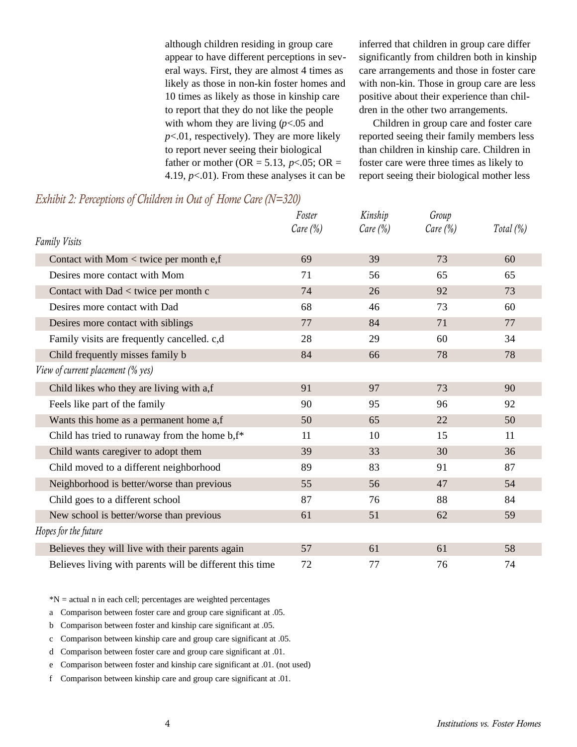although children residing in group care appear to have different perceptions in several ways. First, they are almost 4 times as likely as those in non-kin foster homes and 10 times as likely as those in kinship care to report that they do not like the people with whom they are living (*p*<.05 and *p*<.01, respectively). They are more likely to report never seeing their biological father or mother (OR = 5.13,  $p<0.05$ ; OR = 4.19,  $p<.01$ ). From these analyses it can be inferred that children in group care differ significantly from children both in kinship care arrangements and those in foster care with non-kin. Those in group care are less positive about their experience than children in the other two arrangements.

Children in group care and foster care reported seeing their family members less than children in kinship care. Children in foster care were three times as likely to report seeing their biological mother less

|                                                          | Foster      | Kinship     | Group       |              |
|----------------------------------------------------------|-------------|-------------|-------------|--------------|
| <b>Family Visits</b>                                     | Care $(\%)$ | Care $(\%)$ | Care $(\%)$ | Total $(\%)$ |
| Contact with Mom $<$ twice per month e, f                | 69          | 39          | 73          | 60           |
| Desires more contact with Mom                            | 71          | 56          | 65          | 65           |
| Contact with Dad < twice per month c                     | 74          | 26          | 92          | 73           |
| Desires more contact with Dad                            | 68          | 46          | 73          | 60           |
| Desires more contact with siblings                       | 77          | 84          | 71          | 77           |
| Family visits are frequently cancelled. c,d              | 28          | 29          | 60          | 34           |
| Child frequently misses family b                         | 84          | 66          | 78          | 78           |
| View of current placement (% yes)                        |             |             |             |              |
| Child likes who they are living with a,f                 | 91          | 97          | 73          | 90           |
| Feels like part of the family                            | 90          | 95          | 96          | 92           |
| Wants this home as a permanent home a,f                  | 50          | 65          | 22          | 50           |
| Child has tried to runaway from the home b, f*           | 11          | 10          | 15          | 11           |
| Child wants caregiver to adopt them                      | 39          | 33          | 30          | 36           |
| Child moved to a different neighborhood                  | 89          | 83          | 91          | 87           |
| Neighborhood is better/worse than previous               | 55          | 56          | 47          | 54           |
| Child goes to a different school                         | 87          | 76          | 88          | 84           |
| New school is better/worse than previous                 | 61          | 51          | 62          | 59           |
| Hopes for the future                                     |             |             |             |              |
| Believes they will live with their parents again         | 57          | 61          | 61          | 58           |
| Believes living with parents will be different this time | 72          | 77          | 76          | 74           |

#### *Exhibit 2: Perceptions of Children in Out of Home Care (N=320)*

 $*N$  = actual n in each cell; percentages are weighted percentages

a Comparison between foster care and group care significant at .05.

b Comparison between foster and kinship care significant at .05.

c Comparison between kinship care and group care significant at .05.

d Comparison between foster care and group care significant at .01.

e Comparison between foster and kinship care significant at .01. (not used)

f Comparison between kinship care and group care significant at .01.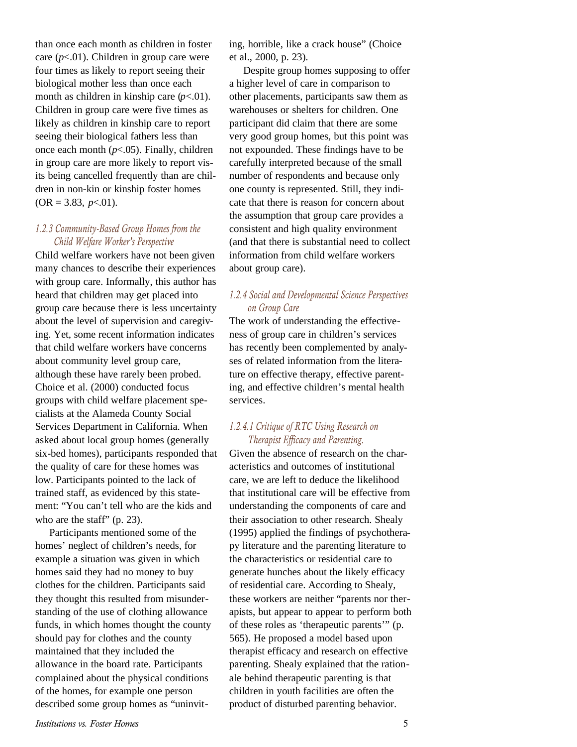than once each month as children in foster care  $(p<.01)$ . Children in group care were four times as likely to report seeing their biological mother less than once each month as children in kinship care  $(p<.01)$ . Children in group care were five times as likely as children in kinship care to report seeing their biological fathers less than once each month (*p*<.05). Finally, children in group care are more likely to report visits being cancelled frequently than are children in non-kin or kinship foster homes  $(OR = 3.83, p < 0.01).$ 

#### *1.2.3 Community-Based Group Homes from the Child Welfare Worker's Perspective*

Child welfare workers have not been given many chances to describe their experiences with group care. Informally, this author has heard that children may get placed into group care because there is less uncertainty about the level of supervision and caregiving. Yet, some recent information indicates that child welfare workers have concerns about community level group care, although these have rarely been probed. Choice et al. (2000) conducted focus groups with child welfare placement specialists at the Alameda County Social Services Department in California. When asked about local group homes (generally six-bed homes), participants responded that the quality of care for these homes was low. Participants pointed to the lack of trained staff, as evidenced by this statement: "You can't tell who are the kids and who are the staff" (p. 23).

Participants mentioned some of the homes' neglect of children's needs, for example a situation was given in which homes said they had no money to buy clothes for the children. Participants said they thought this resulted from misunderstanding of the use of clothing allowance funds, in which homes thought the county should pay for clothes and the county maintained that they included the allowance in the board rate. Participants complained about the physical conditions of the homes, for example one person described some group homes as "uninviting, horrible, like a crack house" (Choice et al., 2000, p. 23).

Despite group homes supposing to offer a higher level of care in comparison to other placements, participants saw them as warehouses or shelters for children. One participant did claim that there are some very good group homes, but this point was not expounded. These findings have to be carefully interpreted because of the small number of respondents and because only one county is represented. Still, they indicate that there is reason for concern about the assumption that group care provides a consistent and high quality environment (and that there is substantial need to collect information from child welfare workers about group care).

#### *1.2.4 Social and Developmental Science Perspectives on Group Care*

The work of understanding the effectiveness of group care in children's services has recently been complemented by analyses of related information from the literature on effective therapy, effective parenting, and effective children's mental health services.

#### *1.2.4.1 Critique of RTC Using Research on Therapist Efficacy and Parenting.*

Given the absence of research on the characteristics and outcomes of institutional care, we are left to deduce the likelihood that institutional care will be effective from understanding the components of care and their association to other research. Shealy (1995) applied the findings of psychotherapy literature and the parenting literature to the characteristics or residential care to generate hunches about the likely efficacy of residential care. According to Shealy, these workers are neither "parents nor therapists, but appear to appear to perform both of these roles as 'therapeutic parents'" (p. 565). He proposed a model based upon therapist efficacy and research on effective parenting. Shealy explained that the rationale behind therapeutic parenting is that children in youth facilities are often the product of disturbed parenting behavior.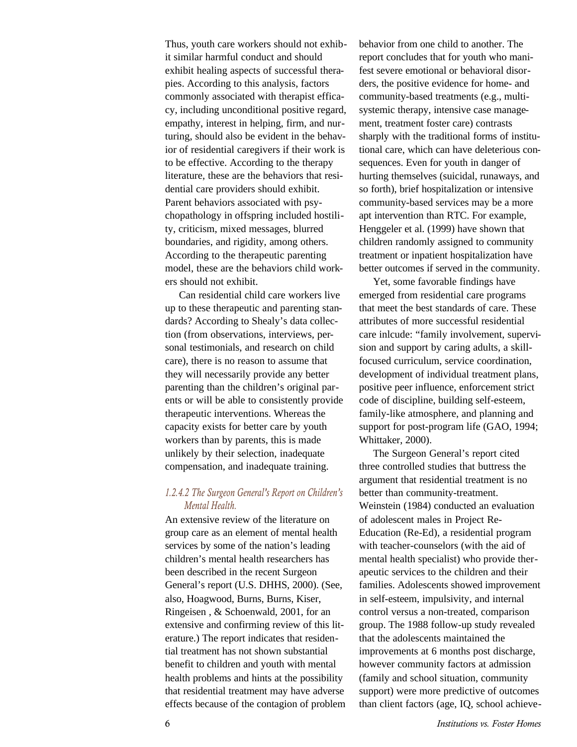Thus, youth care workers should not exhibit similar harmful conduct and should exhibit healing aspects of successful therapies. According to this analysis, factors commonly associated with therapist efficacy, including unconditional positive regard, empathy, interest in helping, firm, and nurturing, should also be evident in the behavior of residential caregivers if their work is to be effective. According to the therapy literature, these are the behaviors that residential care providers should exhibit. Parent behaviors associated with psychopathology in offspring included hostility, criticism, mixed messages, blurred boundaries, and rigidity, among others. According to the therapeutic parenting model, these are the behaviors child workers should not exhibit.

Can residential child care workers live up to these therapeutic and parenting standards? According to Shealy's data collection (from observations, interviews, personal testimonials, and research on child care), there is no reason to assume that they will necessarily provide any better parenting than the children's original parents or will be able to consistently provide therapeutic interventions. Whereas the capacity exists for better care by youth workers than by parents, this is made unlikely by their selection, inadequate compensation, and inadequate training.

#### *1.2.4.2 The Surgeon General's Report on Children's Mental Health.*

An extensive review of the literature on group care as an element of mental health services by some of the nation's leading children's mental health researchers has been described in the recent Surgeon General's report (U.S. DHHS, 2000). (See, also, Hoagwood, Burns, Burns, Kiser, Ringeisen , & Schoenwald, 2001, for an extensive and confirming review of this literature.) The report indicates that residential treatment has not shown substantial benefit to children and youth with mental health problems and hints at the possibility that residential treatment may have adverse effects because of the contagion of problem behavior from one child to another. The report concludes that for youth who manifest severe emotional or behavioral disorders, the positive evidence for home- and community-based treatments (e.g., multisystemic therapy, intensive case management, treatment foster care) contrasts sharply with the traditional forms of institutional care, which can have deleterious consequences. Even for youth in danger of hurting themselves (suicidal, runaways, and so forth), brief hospitalization or intensive community-based services may be a more apt intervention than RTC. For example, Henggeler et al. (1999) have shown that children randomly assigned to community treatment or inpatient hospitalization have better outcomes if served in the community.

Yet, some favorable findings have emerged from residential care programs that meet the best standards of care. These attributes of more successful residential care inlcude: "family involvement, supervision and support by caring adults, a skillfocused curriculum, service coordination, development of individual treatment plans, positive peer influence, enforcement strict code of discipline, building self-esteem, family-like atmosphere, and planning and support for post-program life (GAO, 1994; Whittaker, 2000).

The Surgeon General's report cited three controlled studies that buttress the argument that residential treatment is no better than community-treatment. Weinstein (1984) conducted an evaluation of adolescent males in Project Re-Education (Re-Ed), a residential program with teacher-counselors (with the aid of mental health specialist) who provide therapeutic services to the children and their families. Adolescents showed improvement in self-esteem, impulsivity, and internal control versus a non-treated, comparison group. The 1988 follow-up study revealed that the adolescents maintained the improvements at 6 months post discharge, however community factors at admission (family and school situation, community support) were more predictive of outcomes than client factors (age, IQ, school achieve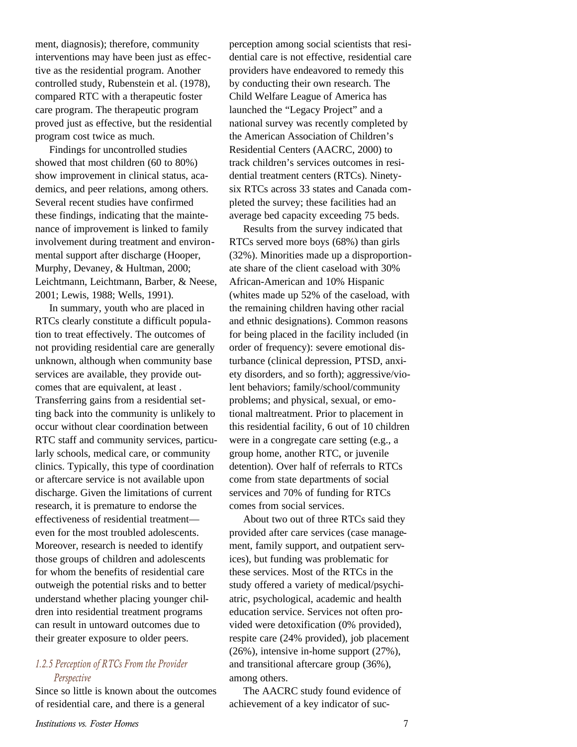ment, diagnosis); therefore, community interventions may have been just as effective as the residential program. Another controlled study, Rubenstein et al. (1978), compared RTC with a therapeutic foster care program. The therapeutic program proved just as effective, but the residential program cost twice as much.

Findings for uncontrolled studies showed that most children (60 to 80%) show improvement in clinical status, academics, and peer relations, among others. Several recent studies have confirmed these findings, indicating that the maintenance of improvement is linked to family involvement during treatment and environmental support after discharge (Hooper, Murphy, Devaney, & Hultman, 2000; Leichtmann, Leichtmann, Barber, & Neese, 2001; Lewis, 1988; Wells, 1991).

In summary, youth who are placed in RTCs clearly constitute a difficult population to treat effectively. The outcomes of not providing residential care are generally unknown, although when community base services are available, they provide outcomes that are equivalent, at least . Transferring gains from a residential setting back into the community is unlikely to occur without clear coordination between RTC staff and community services, particularly schools, medical care, or community clinics. Typically, this type of coordination or aftercare service is not available upon discharge. Given the limitations of current research, it is premature to endorse the effectiveness of residential treatment even for the most troubled adolescents. Moreover, research is needed to identify those groups of children and adolescents for whom the benefits of residential care outweigh the potential risks and to better understand whether placing younger children into residential treatment programs can result in untoward outcomes due to their greater exposure to older peers.

#### *1.2.5 Perception of RTCs From the Provider Perspective*

Since so little is known about the outcomes of residential care, and there is a general

perception among social scientists that residential care is not effective, residential care providers have endeavored to remedy this by conducting their own research. The Child Welfare League of America has launched the "Legacy Project" and a national survey was recently completed by the American Association of Children's Residential Centers (AACRC, 2000) to track children's services outcomes in residential treatment centers (RTCs). Ninetysix RTCs across 33 states and Canada completed the survey; these facilities had an average bed capacity exceeding 75 beds.

Results from the survey indicated that RTCs served more boys (68%) than girls (32%). Minorities made up a disproportionate share of the client caseload with 30% African-American and 10% Hispanic (whites made up 52% of the caseload, with the remaining children having other racial and ethnic designations). Common reasons for being placed in the facility included (in order of frequency): severe emotional disturbance (clinical depression, PTSD, anxiety disorders, and so forth); aggressive/violent behaviors; family/school/community problems; and physical, sexual, or emotional maltreatment. Prior to placement in this residential facility, 6 out of 10 children were in a congregate care setting (e.g., a group home, another RTC, or juvenile detention). Over half of referrals to RTCs come from state departments of social services and 70% of funding for RTCs comes from social services.

About two out of three RTCs said they provided after care services (case management, family support, and outpatient services), but funding was problematic for these services. Most of the RTCs in the study offered a variety of medical/psychiatric, psychological, academic and health education service. Services not often provided were detoxification (0% provided), respite care (24% provided), job placement (26%), intensive in-home support (27%), and transitional aftercare group (36%), among others.

The AACRC study found evidence of achievement of a key indicator of suc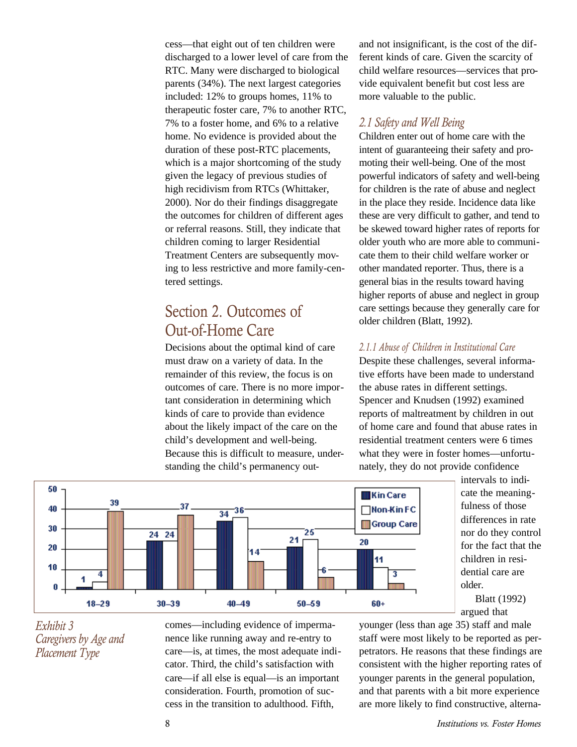cess—that eight out of ten children were discharged to a lower level of care from the RTC. Many were discharged to biological parents (34%). The next largest categories included: 12% to groups homes, 11% to therapeutic foster care, 7% to another RTC, 7% to a foster home, and 6% to a relative home. No evidence is provided about the duration of these post-RTC placements, which is a major shortcoming of the study given the legacy of previous studies of high recidivism from RTCs (Whittaker, 2000). Nor do their findings disaggregate the outcomes for children of different ages or referral reasons. Still, they indicate that children coming to larger Residential Treatment Centers are subsequently moving to less restrictive and more family-centered settings.

### Section 2. Outcomes of Out-of-Home Care

Decisions about the optimal kind of care must draw on a variety of data. In the remainder of this review, the focus is on outcomes of care. There is no more important consideration in determining which kinds of care to provide than evidence about the likely impact of the care on the child's development and well-being. Because this is difficult to measure, understanding the child's permanency outand not insignificant, is the cost of the different kinds of care. Given the scarcity of child welfare resources—services that provide equivalent benefit but cost less are more valuable to the public.

#### *2.1 Safety and Well Being*

Children enter out of home care with the intent of guaranteeing their safety and promoting their well-being. One of the most powerful indicators of safety and well-being for children is the rate of abuse and neglect in the place they reside. Incidence data like these are very difficult to gather, and tend to be skewed toward higher rates of reports for older youth who are more able to communicate them to their child welfare worker or other mandated reporter. Thus, there is a general bias in the results toward having higher reports of abuse and neglect in group care settings because they generally care for older children (Blatt, 1992).

#### *2.1.1 Abuse of Children in Institutional Care*

Despite these challenges, several informative efforts have been made to understand the abuse rates in different settings. Spencer and Knudsen (1992) examined reports of maltreatment by children in out of home care and found that abuse rates in residential treatment centers were 6 times what they were in foster homes—unfortunately, they do not provide confidence



intervals to indicate the meaningfulness of those differences in rate nor do they control for the fact that the children in residential care are older.

Blatt (1992) argued that

*Exhibit 3 Caregivers by Age and Placement Type*

comes—including evidence of impermanence like running away and re-entry to care—is, at times, the most adequate indicator. Third, the child's satisfaction with care—if all else is equal—is an important consideration. Fourth, promotion of success in the transition to adulthood. Fifth,

younger (less than age 35) staff and male staff were most likely to be reported as perpetrators. He reasons that these findings are consistent with the higher reporting rates of younger parents in the general population, and that parents with a bit more experience are more likely to find constructive, alterna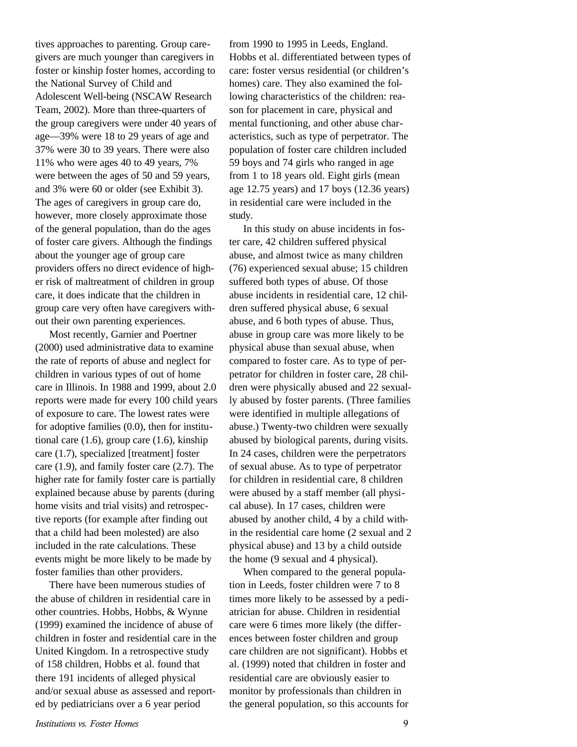tives approaches to parenting. Group caregivers are much younger than caregivers in foster or kinship foster homes, according to the National Survey of Child and Adolescent Well-being (NSCAW Research Team, 2002). More than three-quarters of the group caregivers were under 40 years of age—39% were 18 to 29 years of age and 37% were 30 to 39 years. There were also 11% who were ages 40 to 49 years, 7% were between the ages of 50 and 59 years, and 3% were 60 or older (see Exhibit 3). The ages of caregivers in group care do, however, more closely approximate those of the general population, than do the ages of foster care givers. Although the findings about the younger age of group care providers offers no direct evidence of higher risk of maltreatment of children in group care, it does indicate that the children in group care very often have caregivers without their own parenting experiences.

Most recently, Garnier and Poertner (2000) used administrative data to examine the rate of reports of abuse and neglect for children in various types of out of home care in Illinois. In 1988 and 1999, about 2.0 reports were made for every 100 child years of exposure to care. The lowest rates were for adoptive families (0.0), then for institutional care  $(1.6)$ , group care  $(1.6)$ , kinship care (1.7), specialized [treatment] foster care (1.9), and family foster care (2.7). The higher rate for family foster care is partially explained because abuse by parents (during home visits and trial visits) and retrospective reports (for example after finding out that a child had been molested) are also included in the rate calculations. These events might be more likely to be made by foster families than other providers.

There have been numerous studies of the abuse of children in residential care in other countries. Hobbs, Hobbs, & Wynne (1999) examined the incidence of abuse of children in foster and residential care in the United Kingdom. In a retrospective study of 158 children, Hobbs et al. found that there 191 incidents of alleged physical and/or sexual abuse as assessed and reported by pediatricians over a 6 year period

from 1990 to 1995 in Leeds, England. Hobbs et al. differentiated between types of care: foster versus residential (or children's homes) care. They also examined the following characteristics of the children: reason for placement in care, physical and mental functioning, and other abuse characteristics, such as type of perpetrator. The population of foster care children included 59 boys and 74 girls who ranged in age from 1 to 18 years old. Eight girls (mean age 12.75 years) and 17 boys (12.36 years) in residential care were included in the study.

In this study on abuse incidents in foster care, 42 children suffered physical abuse, and almost twice as many children (76) experienced sexual abuse; 15 children suffered both types of abuse. Of those abuse incidents in residential care, 12 children suffered physical abuse, 6 sexual abuse, and 6 both types of abuse. Thus, abuse in group care was more likely to be physical abuse than sexual abuse, when compared to foster care. As to type of perpetrator for children in foster care, 28 children were physically abused and 22 sexually abused by foster parents. (Three families were identified in multiple allegations of abuse.) Twenty-two children were sexually abused by biological parents, during visits. In 24 cases, children were the perpetrators of sexual abuse. As to type of perpetrator for children in residential care, 8 children were abused by a staff member (all physical abuse). In 17 cases, children were abused by another child, 4 by a child within the residential care home (2 sexual and 2 physical abuse) and 13 by a child outside the home (9 sexual and 4 physical).

When compared to the general population in Leeds, foster children were 7 to 8 times more likely to be assessed by a pediatrician for abuse. Children in residential care were 6 times more likely (the differences between foster children and group care children are not significant). Hobbs et al. (1999) noted that children in foster and residential care are obviously easier to monitor by professionals than children in the general population, so this accounts for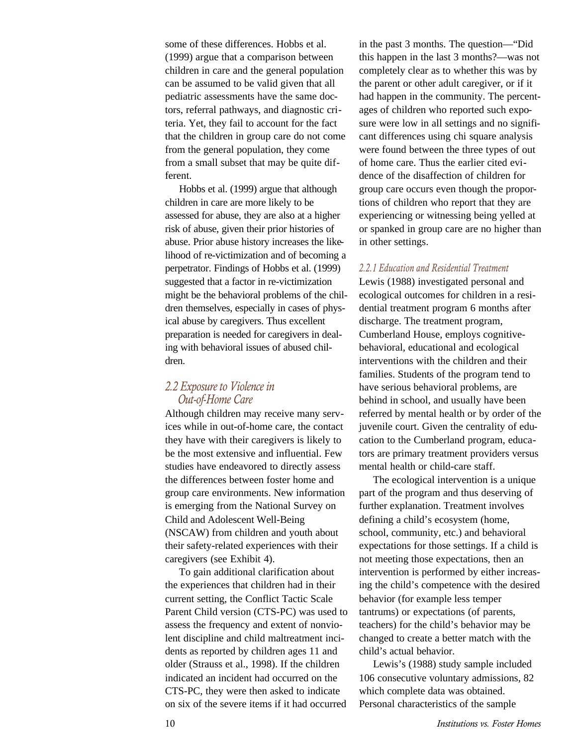some of these differences. Hobbs et al. (1999) argue that a comparison between children in care and the general population can be assumed to be valid given that all pediatric assessments have the same doctors, referral pathways, and diagnostic criteria. Yet, they fail to account for the fact that the children in group care do not come from the general population, they come from a small subset that may be quite different.

Hobbs et al. (1999) argue that although children in care are more likely to be assessed for abuse, they are also at a higher risk of abuse, given their prior histories of abuse. Prior abuse history increases the likelihood of re-victimization and of becoming a perpetrator. Findings of Hobbs et al. (1999) suggested that a factor in re-victimization might be the behavioral problems of the children themselves, especially in cases of physical abuse by caregivers. Thus excellent preparation is needed for caregivers in dealing with behavioral issues of abused children.

#### *2.2 Exposure to Violence in Out-of-Home Care*

Although children may receive many services while in out-of-home care, the contact they have with their caregivers is likely to be the most extensive and influential. Few studies have endeavored to directly assess the differences between foster home and group care environments. New information is emerging from the National Survey on Child and Adolescent Well-Being (NSCAW) from children and youth about their safety-related experiences with their caregivers (see Exhibit 4).

To gain additional clarification about the experiences that children had in their current setting, the Conflict Tactic Scale Parent Child version (CTS-PC) was used to assess the frequency and extent of nonviolent discipline and child maltreatment incidents as reported by children ages 11 and older (Strauss et al., 1998). If the children indicated an incident had occurred on the CTS-PC, they were then asked to indicate on six of the severe items if it had occurred

in the past 3 months. The question—"Did this happen in the last 3 months?—was not completely clear as to whether this was by the parent or other adult caregiver, or if it had happen in the community. The percentages of children who reported such exposure were low in all settings and no significant differences using chi square analysis were found between the three types of out of home care. Thus the earlier cited evidence of the disaffection of children for group care occurs even though the proportions of children who report that they are experiencing or witnessing being yelled at or spanked in group care are no higher than in other settings.

#### *2.2.1 Education and Residential Treatment*

Lewis (1988) investigated personal and ecological outcomes for children in a residential treatment program 6 months after discharge. The treatment program, Cumberland House, employs cognitivebehavioral, educational and ecological interventions with the children and their families. Students of the program tend to have serious behavioral problems, are behind in school, and usually have been referred by mental health or by order of the juvenile court. Given the centrality of education to the Cumberland program, educators are primary treatment providers versus mental health or child-care staff.

The ecological intervention is a unique part of the program and thus deserving of further explanation. Treatment involves defining a child's ecosystem (home, school, community, etc.) and behavioral expectations for those settings. If a child is not meeting those expectations, then an intervention is performed by either increasing the child's competence with the desired behavior (for example less temper tantrums) or expectations (of parents, teachers) for the child's behavior may be changed to create a better match with the child's actual behavior.

Lewis's (1988) study sample included 106 consecutive voluntary admissions, 82 which complete data was obtained. Personal characteristics of the sample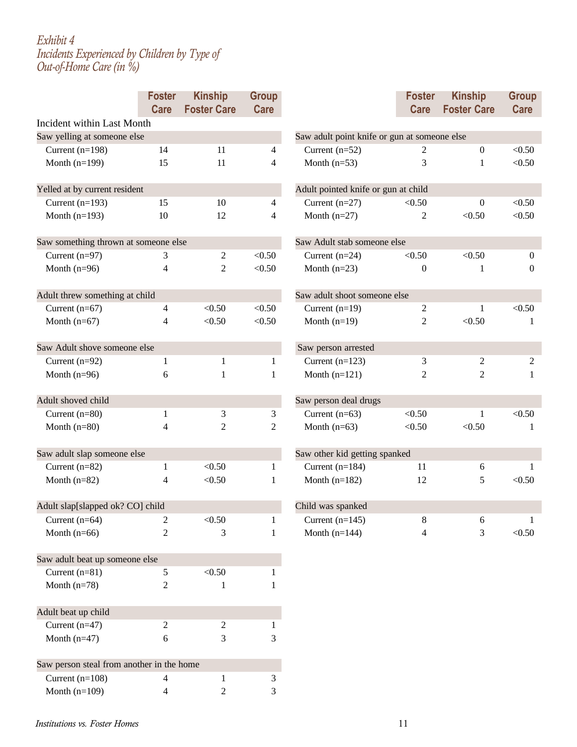#### *Exhibit 4 Incidents Experienced by Children by Type of Out-of-Home Care (in %)*

|                                           | <b>Foster</b><br>Care | <b>Kinship</b><br><b>Foster Care</b> | <b>Group</b><br>Care     |                                              | <b>Foster</b><br>Care | <b>Kinship</b><br><b>Foster Care</b> | <b>Group</b><br><b>Care</b> |  |  |
|-------------------------------------------|-----------------------|--------------------------------------|--------------------------|----------------------------------------------|-----------------------|--------------------------------------|-----------------------------|--|--|
| Incident within Last Month                |                       |                                      |                          |                                              |                       |                                      |                             |  |  |
| Saw yelling at someone else               |                       |                                      |                          | Saw adult point knife or gun at someone else |                       |                                      |                             |  |  |
| Current $(n=198)$                         | 14                    | 11                                   | $\overline{4}$           | Current $(n=52)$                             | 2                     | $\mathbf{0}$                         | < 0.50                      |  |  |
| Month $(n=199)$                           | 15                    | 11                                   | $\overline{4}$           | Month $(n=53)$                               | 3                     | 1                                    | < 0.50                      |  |  |
| Yelled at by current resident             |                       |                                      |                          | Adult pointed knife or gun at child          |                       |                                      |                             |  |  |
| Current $(n=193)$                         | 15                    | 10                                   | $\overline{4}$           | Current $(n=27)$                             | < 0.50                | $\overline{0}$                       | < 0.50                      |  |  |
| Month $(n=193)$                           | 10                    | 12                                   | $\overline{\mathcal{L}}$ | Month $(n=27)$                               | 2                     | < 0.50                               | < 0.50                      |  |  |
| Saw something thrown at someone else      |                       |                                      |                          | Saw Adult stab someone else                  |                       |                                      |                             |  |  |
| Current $(n=97)$                          | 3                     | 2                                    | < 0.50                   | Current $(n=24)$                             | < 0.50                | < 0.50                               | $\overline{0}$              |  |  |
| Month $(n=96)$                            | 4                     | $\overline{2}$                       | < 0.50                   | Month $(n=23)$                               | $\theta$              | 1                                    | $\Omega$                    |  |  |
| Adult threw something at child            |                       |                                      |                          | Saw adult shoot someone else                 |                       |                                      |                             |  |  |
| Current $(n=67)$                          | 4                     | < 0.50                               | < 0.50                   | Current $(n=19)$                             | 2                     | 1                                    | < 0.50                      |  |  |
| Month $(n=67)$                            | 4                     | < 0.50                               | < 0.50                   | Month $(n=19)$                               | 2                     | < 0.50                               | 1                           |  |  |
| Saw Adult shove someone else              |                       |                                      |                          | Saw person arrested                          |                       |                                      |                             |  |  |
| Current $(n=92)$                          | 1                     | $\mathbf{1}$                         | 1                        | Current $(n=123)$                            | 3                     | 2                                    | 2                           |  |  |
| Month $(n=96)$                            | 6                     | 1                                    | 1                        | Month $(n=121)$                              | 2                     | $\overline{2}$                       | 1                           |  |  |
| Adult shoved child                        |                       |                                      |                          | Saw person deal drugs                        |                       |                                      |                             |  |  |
| Current $(n=80)$                          | $\mathbf{1}$          | 3                                    | 3                        | Current $(n=63)$                             | < 0.50                | 1                                    | < 0.50                      |  |  |
| Month $(n=80)$                            | 4                     | $\overline{2}$                       | $\overline{2}$           | Month $(n=63)$                               | < 0.50                | < 0.50                               | 1                           |  |  |
| Saw adult slap someone else               |                       |                                      |                          | Saw other kid getting spanked                |                       |                                      |                             |  |  |
| Current $(n=82)$                          | $\mathbf{1}$          | < 0.50                               | 1                        | Current $(n=184)$                            | 11                    | 6                                    | -1                          |  |  |
| Month $(n=82)$                            | 4                     | < 0.50                               | 1                        | Month $(n=182)$                              | 12                    | 5                                    | < 0.50                      |  |  |
| Adult slap[slapped ok? CO] child          |                       |                                      |                          | Child was spanked                            |                       |                                      |                             |  |  |
| Current $(n=64)$                          | 2                     | < 0.50                               | 1                        | Current $(n=145)$                            | 8                     | 6                                    | 1                           |  |  |
| Month $(n=66)$                            | $\overline{2}$        | 3                                    | 1                        | Month $(n=144)$                              | 4                     | 3                                    | < 0.50                      |  |  |
| Saw adult beat up someone else            |                       |                                      |                          |                                              |                       |                                      |                             |  |  |
| Current $(n=81)$                          | 5                     | < 0.50                               |                          |                                              |                       |                                      |                             |  |  |
| Month $(n=78)$                            | 2                     | 1                                    | 1                        |                                              |                       |                                      |                             |  |  |
| Adult beat up child                       |                       |                                      |                          |                                              |                       |                                      |                             |  |  |
| Current $(n=47)$                          | 2                     | $\overline{c}$                       |                          |                                              |                       |                                      |                             |  |  |
| Month $(n=47)$                            | 6                     | 3                                    | 3                        |                                              |                       |                                      |                             |  |  |
| Saw person steal from another in the home |                       |                                      |                          |                                              |                       |                                      |                             |  |  |
| Current $(n=108)$                         | 4                     | 1                                    | 3                        |                                              |                       |                                      |                             |  |  |
| Month $(n=109)$                           | 4                     | $\overline{c}$                       | 3                        |                                              |                       |                                      |                             |  |  |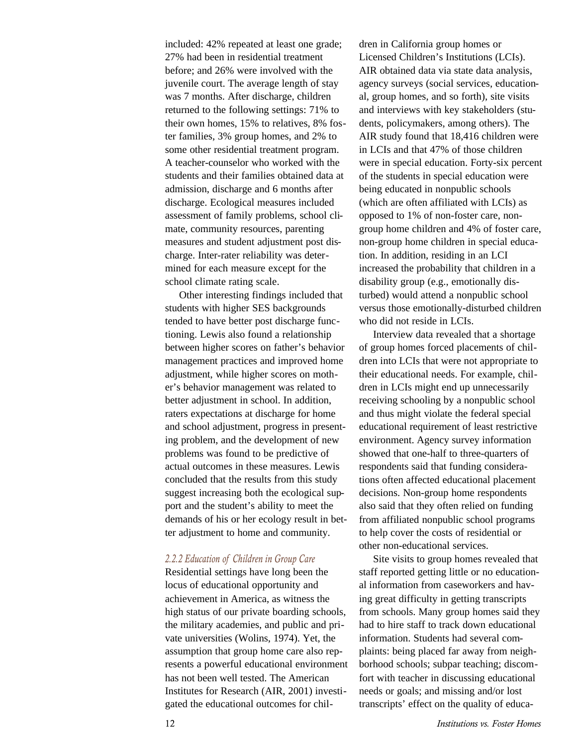included: 42% repeated at least one grade; 27% had been in residential treatment before; and 26% were involved with the juvenile court. The average length of stay was 7 months. After discharge, children returned to the following settings: 71% to their own homes, 15% to relatives, 8% foster families, 3% group homes, and 2% to some other residential treatment program. A teacher-counselor who worked with the students and their families obtained data at admission, discharge and 6 months after discharge. Ecological measures included assessment of family problems, school climate, community resources, parenting measures and student adjustment post discharge. Inter-rater reliability was determined for each measure except for the school climate rating scale.

Other interesting findings included that students with higher SES backgrounds tended to have better post discharge functioning. Lewis also found a relationship between higher scores on father's behavior management practices and improved home adjustment, while higher scores on mother's behavior management was related to better adjustment in school. In addition, raters expectations at discharge for home and school adjustment, progress in presenting problem, and the development of new problems was found to be predictive of actual outcomes in these measures. Lewis concluded that the results from this study suggest increasing both the ecological support and the student's ability to meet the demands of his or her ecology result in better adjustment to home and community.

#### *2.2.2 Education of Children in Group Care*

Residential settings have long been the locus of educational opportunity and achievement in America, as witness the high status of our private boarding schools, the military academies, and public and private universities (Wolins, 1974). Yet, the assumption that group home care also represents a powerful educational environment has not been well tested. The American Institutes for Research (AIR, 2001) investigated the educational outcomes for chil-

dren in California group homes or Licensed Children's Institutions (LCIs). AIR obtained data via state data analysis, agency surveys (social services, educational, group homes, and so forth), site visits and interviews with key stakeholders (students, policymakers, among others). The AIR study found that 18,416 children were in LCIs and that 47% of those children were in special education. Forty-six percent of the students in special education were being educated in nonpublic schools (which are often affiliated with LCIs) as opposed to 1% of non-foster care, nongroup home children and 4% of foster care, non-group home children in special education. In addition, residing in an LCI increased the probability that children in a disability group (e.g., emotionally disturbed) would attend a nonpublic school versus those emotionally-disturbed children who did not reside in LCIs.

Interview data revealed that a shortage of group homes forced placements of children into LCIs that were not appropriate to their educational needs. For example, children in LCIs might end up unnecessarily receiving schooling by a nonpublic school and thus might violate the federal special educational requirement of least restrictive environment. Agency survey information showed that one-half to three-quarters of respondents said that funding considerations often affected educational placement decisions. Non-group home respondents also said that they often relied on funding from affiliated nonpublic school programs to help cover the costs of residential or other non-educational services.

Site visits to group homes revealed that staff reported getting little or no educational information from caseworkers and having great difficulty in getting transcripts from schools. Many group homes said they had to hire staff to track down educational information. Students had several complaints: being placed far away from neighborhood schools; subpar teaching; discomfort with teacher in discussing educational needs or goals; and missing and/or lost transcripts' effect on the quality of educa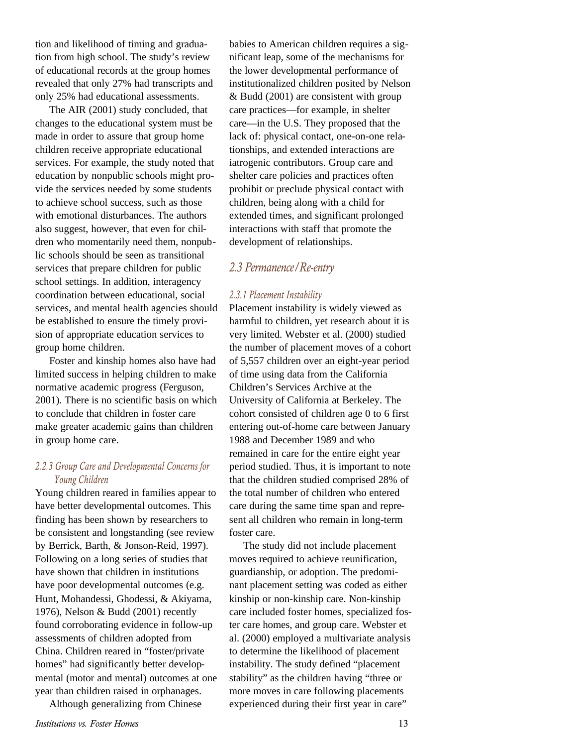tion and likelihood of timing and graduation from high school. The study's review of educational records at the group homes revealed that only 27% had transcripts and only 25% had educational assessments.

The AIR (2001) study concluded, that changes to the educational system must be made in order to assure that group home children receive appropriate educational services. For example, the study noted that education by nonpublic schools might provide the services needed by some students to achieve school success, such as those with emotional disturbances. The authors also suggest, however, that even for children who momentarily need them, nonpublic schools should be seen as transitional services that prepare children for public school settings. In addition, interagency coordination between educational, social services, and mental health agencies should be established to ensure the timely provision of appropriate education services to group home children.

Foster and kinship homes also have had limited success in helping children to make normative academic progress (Ferguson, 2001). There is no scientific basis on which to conclude that children in foster care make greater academic gains than children in group home care.

#### *2.2.3 Group Care and Developmental Concerns for Young Children*

Young children reared in families appear to have better developmental outcomes. This finding has been shown by researchers to be consistent and longstanding (see review by Berrick, Barth, & Jonson-Reid, 1997). Following on a long series of studies that have shown that children in institutions have poor developmental outcomes (e.g. Hunt, Mohandessi, Ghodessi, & Akiyama, 1976), Nelson & Budd (2001) recently found corroborating evidence in follow-up assessments of children adopted from China. Children reared in "foster/private homes" had significantly better developmental (motor and mental) outcomes at one year than children raised in orphanages.

Although generalizing from Chinese

babies to American children requires a significant leap, some of the mechanisms for the lower developmental performance of institutionalized children posited by Nelson & Budd (2001) are consistent with group care practices—for example, in shelter care—in the U.S. They proposed that the lack of: physical contact, one-on-one relationships, and extended interactions are iatrogenic contributors. Group care and shelter care policies and practices often prohibit or preclude physical contact with children, being along with a child for extended times, and significant prolonged interactions with staff that promote the development of relationships.

#### *2.3 Permanence/Re-entry*

#### *2.3.1 Placement Instability*

Placement instability is widely viewed as harmful to children, yet research about it is very limited. Webster et al. (2000) studied the number of placement moves of a cohort of 5,557 children over an eight-year period of time using data from the California Children's Services Archive at the University of California at Berkeley. The cohort consisted of children age 0 to 6 first entering out-of-home care between January 1988 and December 1989 and who remained in care for the entire eight year period studied. Thus, it is important to note that the children studied comprised 28% of the total number of children who entered care during the same time span and represent all children who remain in long-term foster care.

The study did not include placement moves required to achieve reunification, guardianship, or adoption. The predominant placement setting was coded as either kinship or non-kinship care. Non-kinship care included foster homes, specialized foster care homes, and group care. Webster et al. (2000) employed a multivariate analysis to determine the likelihood of placement instability. The study defined "placement stability" as the children having "three or more moves in care following placements experienced during their first year in care"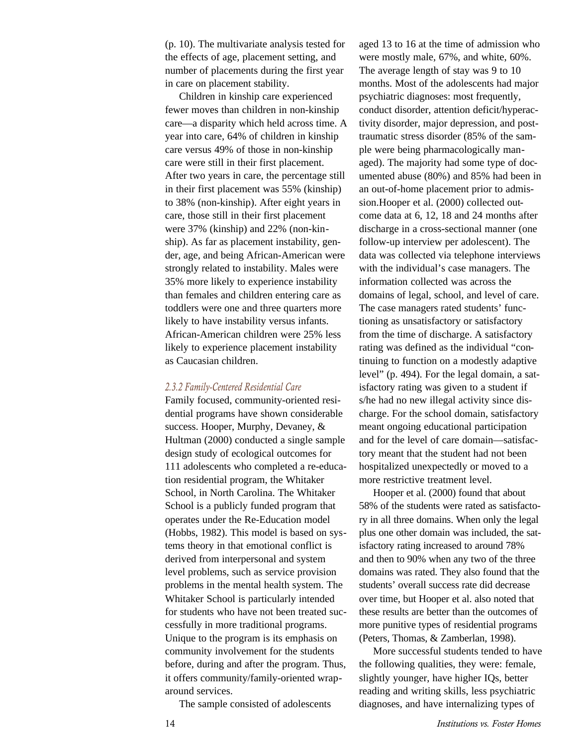(p. 10). The multivariate analysis tested for the effects of age, placement setting, and number of placements during the first year in care on placement stability.

Children in kinship care experienced fewer moves than children in non-kinship care—a disparity which held across time. A year into care, 64% of children in kinship care versus 49% of those in non-kinship care were still in their first placement. After two years in care, the percentage still in their first placement was 55% (kinship) to 38% (non-kinship). After eight years in care, those still in their first placement were 37% (kinship) and 22% (non-kinship). As far as placement instability, gender, age, and being African-American were strongly related to instability. Males were 35% more likely to experience instability than females and children entering care as toddlers were one and three quarters more likely to have instability versus infants. African-American children were 25% less likely to experience placement instability as Caucasian children.

#### *2.3.2 Family-Centered Residential Care*

Family focused, community-oriented residential programs have shown considerable success. Hooper, Murphy, Devaney, & Hultman (2000) conducted a single sample design study of ecological outcomes for 111 adolescents who completed a re-education residential program, the Whitaker School, in North Carolina. The Whitaker School is a publicly funded program that operates under the Re-Education model (Hobbs, 1982). This model is based on systems theory in that emotional conflict is derived from interpersonal and system level problems, such as service provision problems in the mental health system. The Whitaker School is particularly intended for students who have not been treated successfully in more traditional programs. Unique to the program is its emphasis on community involvement for the students before, during and after the program. Thus, it offers community/family-oriented wraparound services.

The sample consisted of adolescents

aged 13 to 16 at the time of admission who were mostly male, 67%, and white, 60%. The average length of stay was 9 to 10 months. Most of the adolescents had major psychiatric diagnoses: most frequently, conduct disorder, attention deficit/hyperactivity disorder, major depression, and posttraumatic stress disorder (85% of the sample were being pharmacologically managed). The majority had some type of documented abuse (80%) and 85% had been in an out-of-home placement prior to admission.Hooper et al. (2000) collected outcome data at 6, 12, 18 and 24 months after discharge in a cross-sectional manner (one follow-up interview per adolescent). The data was collected via telephone interviews with the individual's case managers. The information collected was across the domains of legal, school, and level of care. The case managers rated students' functioning as unsatisfactory or satisfactory from the time of discharge. A satisfactory rating was defined as the individual "continuing to function on a modestly adaptive level" (p. 494). For the legal domain, a satisfactory rating was given to a student if s/he had no new illegal activity since discharge. For the school domain, satisfactory meant ongoing educational participation and for the level of care domain—satisfactory meant that the student had not been hospitalized unexpectedly or moved to a more restrictive treatment level.

Hooper et al. (2000) found that about 58% of the students were rated as satisfactory in all three domains. When only the legal plus one other domain was included, the satisfactory rating increased to around 78% and then to 90% when any two of the three domains was rated. They also found that the students' overall success rate did decrease over time, but Hooper et al. also noted that these results are better than the outcomes of more punitive types of residential programs (Peters, Thomas, & Zamberlan, 1998).

More successful students tended to have the following qualities, they were: female, slightly younger, have higher IQs, better reading and writing skills, less psychiatric diagnoses, and have internalizing types of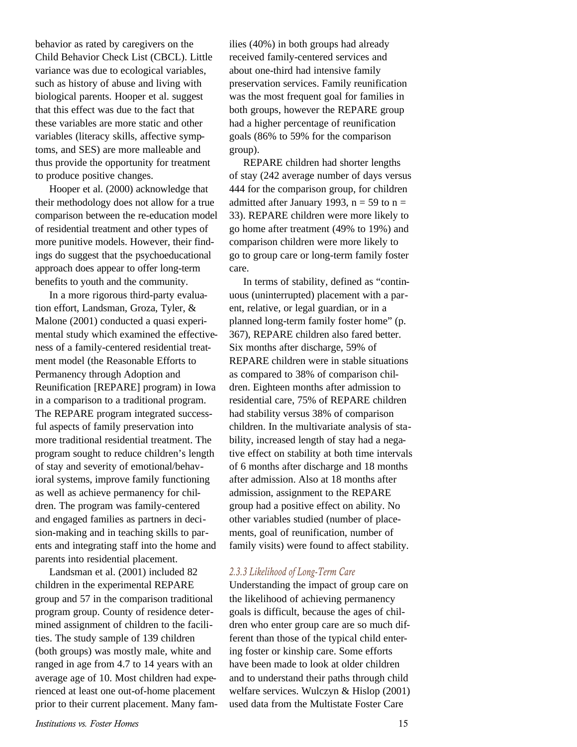behavior as rated by caregivers on the Child Behavior Check List (CBCL). Little variance was due to ecological variables, such as history of abuse and living with biological parents. Hooper et al. suggest that this effect was due to the fact that these variables are more static and other variables (literacy skills, affective symptoms, and SES) are more malleable and thus provide the opportunity for treatment to produce positive changes.

Hooper et al. (2000) acknowledge that their methodology does not allow for a true comparison between the re-education model of residential treatment and other types of more punitive models. However, their findings do suggest that the psychoeducational approach does appear to offer long-term benefits to youth and the community.

In a more rigorous third-party evaluation effort, Landsman, Groza, Tyler, & Malone (2001) conducted a quasi experimental study which examined the effectiveness of a family-centered residential treatment model (the Reasonable Efforts to Permanency through Adoption and Reunification [REPARE] program) in Iowa in a comparison to a traditional program. The REPARE program integrated successful aspects of family preservation into more traditional residential treatment. The program sought to reduce children's length of stay and severity of emotional/behavioral systems, improve family functioning as well as achieve permanency for children. The program was family-centered and engaged families as partners in decision-making and in teaching skills to parents and integrating staff into the home and parents into residential placement.

Landsman et al. (2001) included 82 children in the experimental REPARE group and 57 in the comparison traditional program group. County of residence determined assignment of children to the facilities. The study sample of 139 children (both groups) was mostly male, white and ranged in age from 4.7 to 14 years with an average age of 10. Most children had experienced at least one out-of-home placement prior to their current placement. Many families (40%) in both groups had already received family-centered services and about one-third had intensive family preservation services. Family reunification was the most frequent goal for families in both groups, however the REPARE group had a higher percentage of reunification goals (86% to 59% for the comparison group).

REPARE children had shorter lengths of stay (242 average number of days versus 444 for the comparison group, for children admitted after January 1993,  $n = 59$  to  $n =$ 33). REPARE children were more likely to go home after treatment (49% to 19%) and comparison children were more likely to go to group care or long-term family foster care.

In terms of stability, defined as "continuous (uninterrupted) placement with a parent, relative, or legal guardian, or in a planned long-term family foster home" (p. 367), REPARE children also fared better. Six months after discharge, 59% of REPARE children were in stable situations as compared to 38% of comparison children. Eighteen months after admission to residential care, 75% of REPARE children had stability versus 38% of comparison children. In the multivariate analysis of stability, increased length of stay had a negative effect on stability at both time intervals of 6 months after discharge and 18 months after admission. Also at 18 months after admission, assignment to the REPARE group had a positive effect on ability. No other variables studied (number of placements, goal of reunification, number of family visits) were found to affect stability.

#### *2.3.3 Likelihood of Long-Term Care*

Understanding the impact of group care on the likelihood of achieving permanency goals is difficult, because the ages of children who enter group care are so much different than those of the typical child entering foster or kinship care. Some efforts have been made to look at older children and to understand their paths through child welfare services. Wulczyn & Hislop (2001) used data from the Multistate Foster Care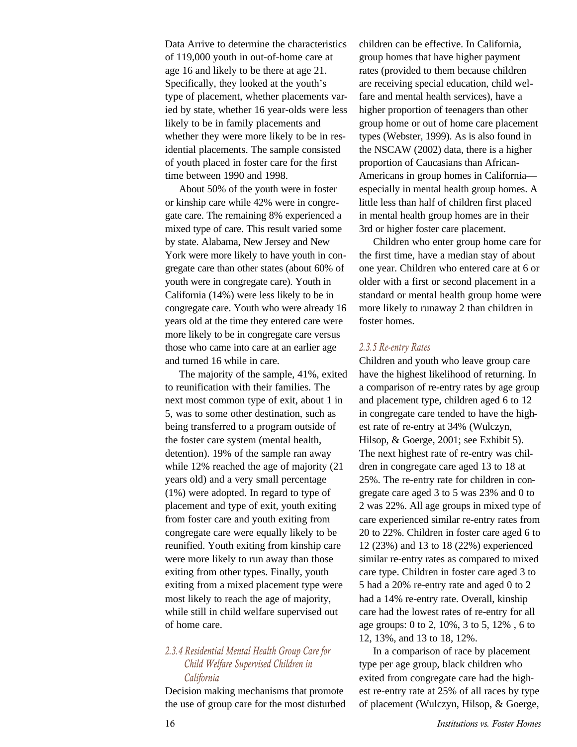Data Arrive to determine the characteristics of 119,000 youth in out-of-home care at age 16 and likely to be there at age 21. Specifically, they looked at the youth's type of placement, whether placements varied by state, whether 16 year-olds were less likely to be in family placements and whether they were more likely to be in residential placements. The sample consisted of youth placed in foster care for the first time between 1990 and 1998.

About 50% of the youth were in foster or kinship care while 42% were in congregate care. The remaining 8% experienced a mixed type of care. This result varied some by state. Alabama, New Jersey and New York were more likely to have youth in congregate care than other states (about 60% of youth were in congregate care). Youth in California (14%) were less likely to be in congregate care. Youth who were already 16 years old at the time they entered care were more likely to be in congregate care versus those who came into care at an earlier age and turned 16 while in care.

The majority of the sample, 41%, exited to reunification with their families. The next most common type of exit, about 1 in 5, was to some other destination, such as being transferred to a program outside of the foster care system (mental health, detention). 19% of the sample ran away while 12% reached the age of majority (21 years old) and a very small percentage (1%) were adopted. In regard to type of placement and type of exit, youth exiting from foster care and youth exiting from congregate care were equally likely to be reunified. Youth exiting from kinship care were more likely to run away than those exiting from other types. Finally, youth exiting from a mixed placement type were most likely to reach the age of majority, while still in child welfare supervised out of home care.

#### *2.3.4 Residential Mental Health Group Care for Child Welfare Supervised Children in California*

Decision making mechanisms that promote the use of group care for the most disturbed children can be effective. In California, group homes that have higher payment rates (provided to them because children are receiving special education, child welfare and mental health services), have a higher proportion of teenagers than other group home or out of home care placement types (Webster, 1999). As is also found in the NSCAW (2002) data, there is a higher proportion of Caucasians than African-Americans in group homes in California especially in mental health group homes. A little less than half of children first placed in mental health group homes are in their 3rd or higher foster care placement.

Children who enter group home care for the first time, have a median stay of about one year. Children who entered care at 6 or older with a first or second placement in a standard or mental health group home were more likely to runaway 2 than children in foster homes.

#### *2.3.5 Re-entry Rates*

Children and youth who leave group care have the highest likelihood of returning. In a comparison of re-entry rates by age group and placement type, children aged 6 to 12 in congregate care tended to have the highest rate of re-entry at 34% (Wulczyn, Hilsop, & Goerge, 2001; see Exhibit 5). The next highest rate of re-entry was children in congregate care aged 13 to 18 at 25%. The re-entry rate for children in congregate care aged 3 to 5 was 23% and 0 to 2 was 22%. All age groups in mixed type of care experienced similar re-entry rates from 20 to 22%. Children in foster care aged 6 to 12 (23%) and 13 to 18 (22%) experienced similar re-entry rates as compared to mixed care type. Children in foster care aged 3 to 5 had a 20% re-entry rate and aged 0 to 2 had a 14% re-entry rate. Overall, kinship care had the lowest rates of re-entry for all age groups: 0 to 2, 10%, 3 to 5, 12% , 6 to 12, 13%, and 13 to 18, 12%.

In a comparison of race by placement type per age group, black children who exited from congregate care had the highest re-entry rate at 25% of all races by type of placement (Wulczyn, Hilsop, & Goerge,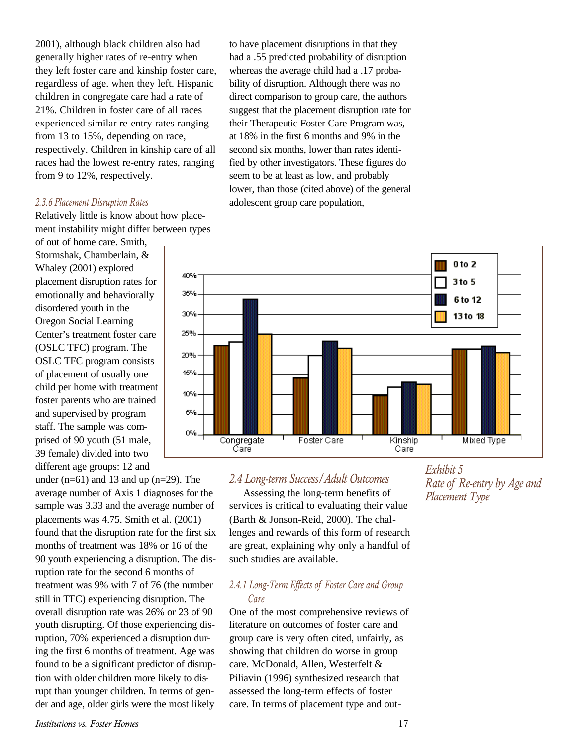2001), although black children also had generally higher rates of re-entry when they left foster care and kinship foster care, regardless of age. when they left. Hispanic children in congregate care had a rate of 21%. Children in foster care of all races experienced similar re-entry rates ranging from 13 to 15%, depending on race, respectively. Children in kinship care of all races had the lowest re-entry rates, ranging from 9 to 12%, respectively.

#### *2.3.6 Placement Disruption Rates*

Relatively little is know about how placement instability might differ between types

of out of home care. Smith, Stormshak, Chamberlain, & Whaley (2001) explored placement disruption rates for emotionally and behaviorally disordered youth in the Oregon Social Learning Center's treatment foster care (OSLC TFC) program. The OSLC TFC program consists of placement of usually one child per home with treatment foster parents who are trained and supervised by program staff. The sample was comprised of 90 youth (51 male, 39 female) divided into two different age groups: 12 and

under  $(n=61)$  and 13 and up  $(n=29)$ . The average number of Axis 1 diagnoses for the sample was 3.33 and the average number of placements was 4.75. Smith et al. (2001) found that the disruption rate for the first six months of treatment was 18% or 16 of the 90 youth experiencing a disruption. The disruption rate for the second 6 months of treatment was 9% with 7 of 76 (the number still in TFC) experiencing disruption. The overall disruption rate was 26% or 23 of 90 youth disrupting. Of those experiencing disruption, 70% experienced a disruption during the first 6 months of treatment. Age was found to be a significant predictor of disruption with older children more likely to disrupt than younger children. In terms of gender and age, older girls were the most likely

to have placement disruptions in that they had a .55 predicted probability of disruption whereas the average child had a .17 probability of disruption. Although there was no direct comparison to group care, the authors suggest that the placement disruption rate for their Therapeutic Foster Care Program was, at 18% in the first 6 months and 9% in the second six months, lower than rates identified by other investigators. These figures do seem to be at least as low, and probably lower, than those (cited above) of the general adolescent group care population,



#### *2.4 Long-term Success/Adult Outcomes*

Assessing the long-term benefits of services is critical to evaluating their value (Barth & Jonson-Reid, 2000). The challenges and rewards of this form of research are great, explaining why only a handful of such studies are available.

#### *2.4.1 Long-Term Effects of Foster Care and Group Care*

One of the most comprehensive reviews of literature on outcomes of foster care and group care is very often cited, unfairly, as showing that children do worse in group care. McDonald, Allen, Westerfelt & Piliavin (1996) synthesized research that assessed the long-term effects of foster care. In terms of placement type and out*Exhibit 5 Rate of Re-entry by Age and Placement Type*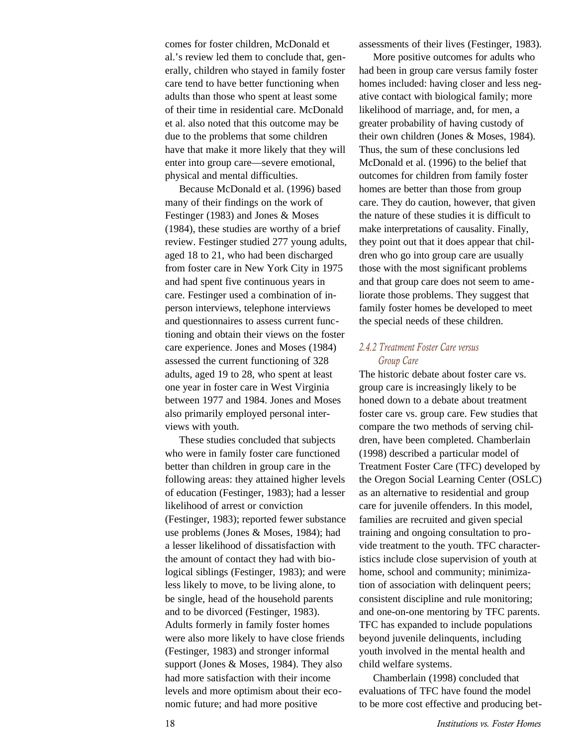comes for foster children, McDonald et al.'s review led them to conclude that, generally, children who stayed in family foster care tend to have better functioning when adults than those who spent at least some of their time in residential care. McDonald et al. also noted that this outcome may be due to the problems that some children have that make it more likely that they will enter into group care—severe emotional, physical and mental difficulties.

Because McDonald et al. (1996) based many of their findings on the work of Festinger (1983) and Jones & Moses (1984), these studies are worthy of a brief review. Festinger studied 277 young adults, aged 18 to 21, who had been discharged from foster care in New York City in 1975 and had spent five continuous years in care. Festinger used a combination of inperson interviews, telephone interviews and questionnaires to assess current functioning and obtain their views on the foster care experience. Jones and Moses (1984) assessed the current functioning of 328 adults, aged 19 to 28, who spent at least one year in foster care in West Virginia between 1977 and 1984. Jones and Moses also primarily employed personal interviews with youth.

These studies concluded that subjects who were in family foster care functioned better than children in group care in the following areas: they attained higher levels of education (Festinger, 1983); had a lesser likelihood of arrest or conviction (Festinger, 1983); reported fewer substance use problems (Jones & Moses, 1984); had a lesser likelihood of dissatisfaction with the amount of contact they had with biological siblings (Festinger, 1983); and were less likely to move, to be living alone, to be single, head of the household parents and to be divorced (Festinger, 1983). Adults formerly in family foster homes were also more likely to have close friends (Festinger, 1983) and stronger informal support (Jones & Moses, 1984). They also had more satisfaction with their income levels and more optimism about their economic future; and had more positive

assessments of their lives (Festinger, 1983).

More positive outcomes for adults who had been in group care versus family foster homes included: having closer and less negative contact with biological family; more likelihood of marriage, and, for men, a greater probability of having custody of their own children (Jones & Moses, 1984). Thus, the sum of these conclusions led McDonald et al. (1996) to the belief that outcomes for children from family foster homes are better than those from group care. They do caution, however, that given the nature of these studies it is difficult to make interpretations of causality. Finally, they point out that it does appear that children who go into group care are usually those with the most significant problems and that group care does not seem to ameliorate those problems. They suggest that family foster homes be developed to meet the special needs of these children.

#### *2.4.2 Treatment Foster Care versus Group Care*

The historic debate about foster care vs. group care is increasingly likely to be honed down to a debate about treatment foster care vs. group care. Few studies that compare the two methods of serving children, have been completed. Chamberlain (1998) described a particular model of Treatment Foster Care (TFC) developed by the Oregon Social Learning Center (OSLC) as an alternative to residential and group care for juvenile offenders. In this model, families are recruited and given special training and ongoing consultation to provide treatment to the youth. TFC characteristics include close supervision of youth at home, school and community; minimization of association with delinquent peers; consistent discipline and rule monitoring; and one-on-one mentoring by TFC parents. TFC has expanded to include populations beyond juvenile delinquents, including youth involved in the mental health and child welfare systems.

Chamberlain (1998) concluded that evaluations of TFC have found the model to be more cost effective and producing bet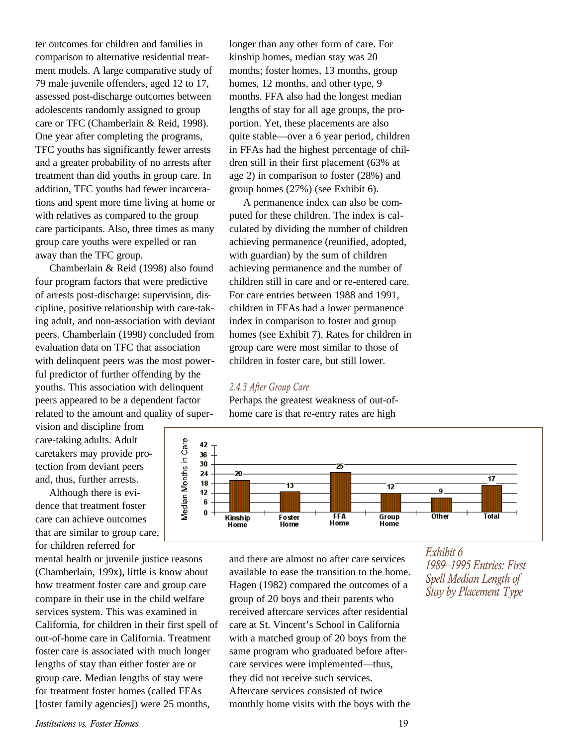ter outcomes for children and families in comparison to alternative residential treatment models. A large comparative study of 79 male juvenile offenders, aged 12 to 17, assessed post-discharge outcomes between adolescents randomly assigned to group care or TFC (Chamberlain & Reid, 1998). One year after completing the programs, TFC youths has significantly fewer arrests and a greater probability of no arrests after treatment than did youths in group care. In addition, TFC youths had fewer incarcerations and spent more time living at home or with relatives as compared to the group care participants. Also, three times as many group care youths were expelled or ran away than the TFC group.

Chamberlain & Reid (1998) also found four program factors that were predictive of arrests post-discharge: supervision, discipline, positive relationship with care-taking adult, and non-association with deviant peers. Chamberlain (1998) concluded from evaluation data on TFC that association with delinquent peers was the most powerful predictor of further offending by the youths. This association with delinquent peers appeared to be a dependent factor related to the amount and quality of super-

vision and discipline from care-taking adults. Adult caretakers may provide protection from deviant peers and, thus, further arrests.

Although there is evidence that treatment foster care can achieve outcomes that are similar to group care, for children referred for

mental health or juvenile justice reasons (Chamberlain, 199x), little is know about how treatment foster care and group care compare in their use in the child welfare services system. This was examined in California, for children in their first spell of out-of-home care in California. Treatment foster care is associated with much longer lengths of stay than either foster are or group care. Median lengths of stay were for treatment foster homes (called FFAs [foster family agencies]) were 25 months,

longer than any other form of care. For kinship homes, median stay was 20 months; foster homes, 13 months, group homes, 12 months, and other type, 9 months. FFA also had the longest median lengths of stay for all age groups, the proportion. Yet, these placements are also quite stable—over a 6 year period, children in FFAs had the highest percentage of children still in their first placement (63% at age 2) in comparison to foster (28%) and group homes (27%) (see Exhibit 6).

A permanence index can also be computed for these children. The index is calculated by dividing the number of children achieving permanence (reunified, adopted, with guardian) by the sum of children achieving permanence and the number of children still in care and or re-entered care. For care entries between 1988 and 1991, children in FFAs had a lower permanence index in comparison to foster and group homes (see Exhibit 7). Rates for children in group care were most similar to those of children in foster care, but still lower.

#### *2.4.3 After Group Care*

Perhaps the greatest weakness of out-ofhome care is that re-entry rates are high



and there are almost no after care services available to ease the transition to the home. Hagen (1982) compared the outcomes of a group of 20 boys and their parents who received aftercare services after residential care at St. Vincent's School in California with a matched group of 20 boys from the same program who graduated before aftercare services were implemented—thus, they did not receive such services. Aftercare services consisted of twice monthly home visits with the boys with the

*Exhibit 6 1989–1995 Entries: First Spell Median Length of Stay by Placement Type*

*Institutions vs. Foster Homes* 19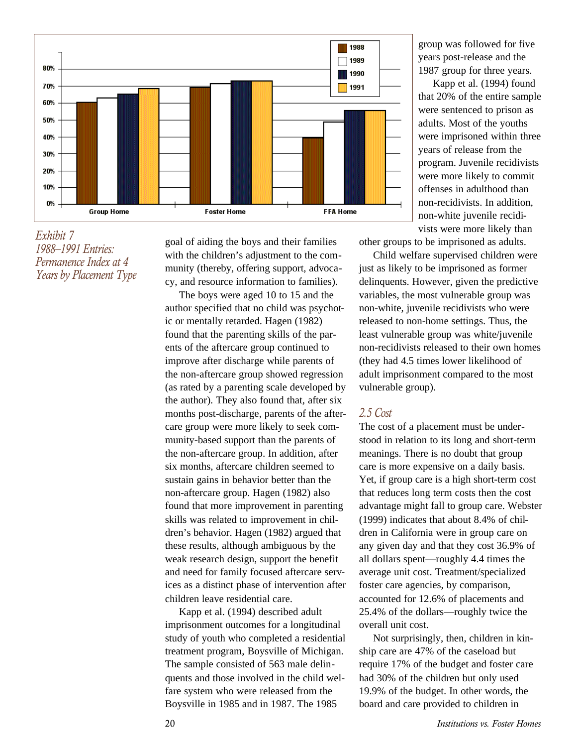

*Exhibit 7 1988–1991 Entries: Permanence Index at 4 Years by Placement Type*

goal of aiding the boys and their families with the children's adjustment to the community (thereby, offering support, advocacy, and resource information to families).

The boys were aged 10 to 15 and the author specified that no child was psychotic or mentally retarded. Hagen (1982) found that the parenting skills of the parents of the aftercare group continued to improve after discharge while parents of the non-aftercare group showed regression (as rated by a parenting scale developed by the author). They also found that, after six months post-discharge, parents of the aftercare group were more likely to seek community-based support than the parents of the non-aftercare group. In addition, after six months, aftercare children seemed to sustain gains in behavior better than the non-aftercare group. Hagen (1982) also found that more improvement in parenting skills was related to improvement in children's behavior. Hagen (1982) argued that these results, although ambiguous by the weak research design, support the benefit and need for family focused aftercare services as a distinct phase of intervention after children leave residential care.

Kapp et al. (1994) described adult imprisonment outcomes for a longitudinal study of youth who completed a residential treatment program, Boysville of Michigan. The sample consisted of 563 male delinquents and those involved in the child welfare system who were released from the Boysville in 1985 and in 1987. The 1985

group was followed for five years post-release and the 1987 group for three years.

Kapp et al. (1994) found that 20% of the entire sample were sentenced to prison as adults. Most of the youths were imprisoned within three years of release from the program. Juvenile recidivists were more likely to commit offenses in adulthood than non-recidivists. In addition, non-white juvenile recidivists were more likely than

other groups to be imprisoned as adults.

Child welfare supervised children were just as likely to be imprisoned as former delinquents. However, given the predictive variables, the most vulnerable group was non-white, juvenile recidivists who were released to non-home settings. Thus, the least vulnerable group was white/juvenile non-recidivists released to their own homes (they had 4.5 times lower likelihood of adult imprisonment compared to the most vulnerable group).

#### *2.5 Cost*

The cost of a placement must be understood in relation to its long and short-term meanings. There is no doubt that group care is more expensive on a daily basis. Yet, if group care is a high short-term cost that reduces long term costs then the cost advantage might fall to group care. Webster (1999) indicates that about 8.4% of children in California were in group care on any given day and that they cost 36.9% of all dollars spent—roughly 4.4 times the average unit cost. Treatment/specialized foster care agencies, by comparison, accounted for 12.6% of placements and 25.4% of the dollars—roughly twice the overall unit cost.

Not surprisingly, then, children in kinship care are 47% of the caseload but require 17% of the budget and foster care had 30% of the children but only used 19.9% of the budget. In other words, the board and care provided to children in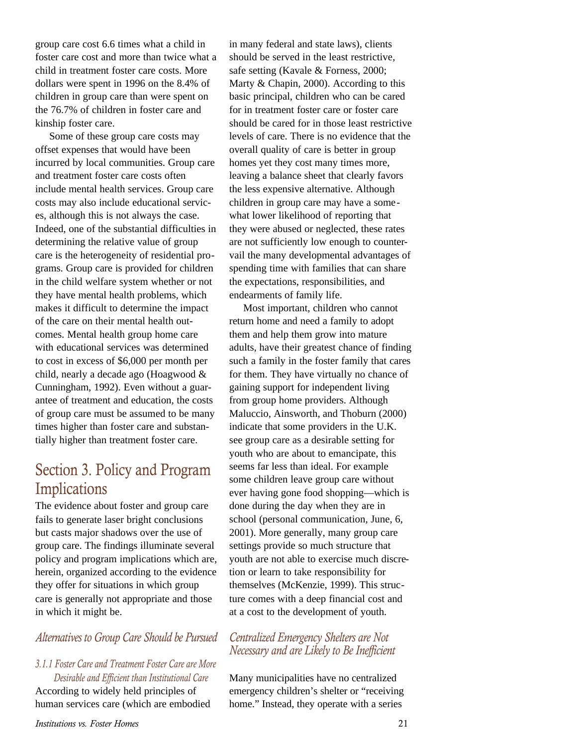group care cost 6.6 times what a child in foster care cost and more than twice what a child in treatment foster care costs. More dollars were spent in 1996 on the 8.4% of children in group care than were spent on the 76.7% of children in foster care and kinship foster care.

Some of these group care costs may offset expenses that would have been incurred by local communities. Group care and treatment foster care costs often include mental health services. Group care costs may also include educational services, although this is not always the case. Indeed, one of the substantial difficulties in determining the relative value of group care is the heterogeneity of residential programs. Group care is provided for children in the child welfare system whether or not they have mental health problems, which makes it difficult to determine the impact of the care on their mental health outcomes. Mental health group home care with educational services was determined to cost in excess of \$6,000 per month per child, nearly a decade ago (Hoagwood & Cunningham, 1992). Even without a guarantee of treatment and education, the costs of group care must be assumed to be many times higher than foster care and substantially higher than treatment foster care.

### Section 3. Policy and Program **Implications**

The evidence about foster and group care fails to generate laser bright conclusions but casts major shadows over the use of group care. The findings illuminate several policy and program implications which are, herein, organized according to the evidence they offer for situations in which group care is generally not appropriate and those in which it might be.

#### *Alternatives to Group Care Should be Pursued*

### *3.1.1 Foster Care and Treatment Foster Care are More Desirable and Efficient than Institutional Care*

According to widely held principles of human services care (which are embodied in many federal and state laws), clients should be served in the least restrictive, safe setting (Kavale & Forness, 2000; Marty & Chapin, 2000). According to this basic principal, children who can be cared for in treatment foster care or foster care should be cared for in those least restrictive levels of care. There is no evidence that the overall quality of care is better in group homes yet they cost many times more, leaving a balance sheet that clearly favors the less expensive alternative. Although children in group care may have a somewhat lower likelihood of reporting that they were abused or neglected, these rates are not sufficiently low enough to countervail the many developmental advantages of spending time with families that can share the expectations, responsibilities, and endearments of family life.

Most important, children who cannot return home and need a family to adopt them and help them grow into mature adults, have their greatest chance of finding such a family in the foster family that cares for them. They have virtually no chance of gaining support for independent living from group home providers. Although Maluccio, Ainsworth, and Thoburn (2000) indicate that some providers in the U.K. see group care as a desirable setting for youth who are about to emancipate, this seems far less than ideal. For example some children leave group care without ever having gone food shopping—which is done during the day when they are in school (personal communication, June, 6, 2001). More generally, many group care settings provide so much structure that youth are not able to exercise much discretion or learn to take responsibility for themselves (McKenzie, 1999). This structure comes with a deep financial cost and at a cost to the development of youth.

#### *Centralized Emergency Shelters are Not Necessary and are Likely to Be Inefficient*

Many municipalities have no centralized emergency children's shelter or "receiving home." Instead, they operate with a series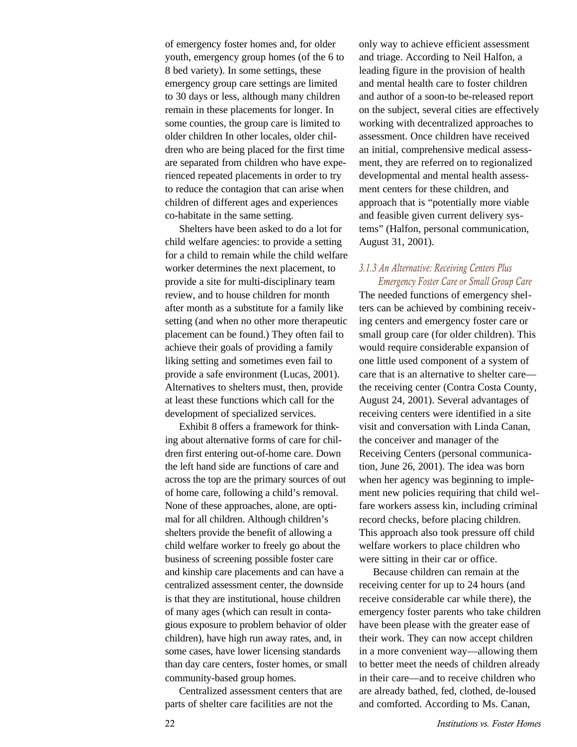of emergency foster homes and, for older youth, emergency group homes (of the 6 to 8 bed variety). In some settings, these emergency group care settings are limited to 30 days or less, although many children remain in these placements for longer. In some counties, the group care is limited to older children In other locales, older children who are being placed for the first time are separated from children who have experienced repeated placements in order to try to reduce the contagion that can arise when children of different ages and experiences co-habitate in the same setting.

Shelters have been asked to do a lot for child welfare agencies: to provide a setting for a child to remain while the child welfare worker determines the next placement, to provide a site for multi-disciplinary team review, and to house children for month after month as a substitute for a family like setting (and when no other more therapeutic placement can be found.) They often fail to achieve their goals of providing a family liking setting and sometimes even fail to provide a safe environment (Lucas, 2001). Alternatives to shelters must, then, provide at least these functions which call for the development of specialized services.

Exhibit 8 offers a framework for thinking about alternative forms of care for children first entering out-of-home care. Down the left hand side are functions of care and across the top are the primary sources of out of home care, following a child's removal. None of these approaches, alone, are optimal for all children. Although children's shelters provide the benefit of allowing a child welfare worker to freely go about the business of screening possible foster care and kinship care placements and can have a centralized assessment center, the downside is that they are institutional, house children of many ages (which can result in contagious exposure to problem behavior of older children), have high run away rates, and, in some cases, have lower licensing standards than day care centers, foster homes, or small community-based group homes.

Centralized assessment centers that are parts of shelter care facilities are not the

only way to achieve efficient assessment and triage. According to Neil Halfon, a leading figure in the provision of health and mental health care to foster children and author of a soon-to be-released report on the subject, several cities are effectively working with decentralized approaches to assessment. Once children have received an initial, comprehensive medical assessment, they are referred on to regionalized developmental and mental health assessment centers for these children, and approach that is "potentially more viable and feasible given current delivery systems" (Halfon, personal communication, August 31, 2001).

#### *3.1.3 An Alternative: Receiving Centers Plus Emergency Foster Care or Small Group Care*

The needed functions of emergency shelters can be achieved by combining receiving centers and emergency foster care or small group care (for older children). This would require considerable expansion of one little used component of a system of care that is an alternative to shelter care the receiving center (Contra Costa County, August 24, 2001). Several advantages of receiving centers were identified in a site visit and conversation with Linda Canan, the conceiver and manager of the Receiving Centers (personal communication, June 26, 2001). The idea was born when her agency was beginning to implement new policies requiring that child welfare workers assess kin, including criminal record checks, before placing children. This approach also took pressure off child welfare workers to place children who were sitting in their car or office.

Because children can remain at the receiving center for up to 24 hours (and receive considerable car while there), the emergency foster parents who take children have been please with the greater ease of their work. They can now accept children in a more convenient way—allowing them to better meet the needs of children already in their care—and to receive children who are already bathed, fed, clothed, de-loused and comforted. According to Ms. Canan,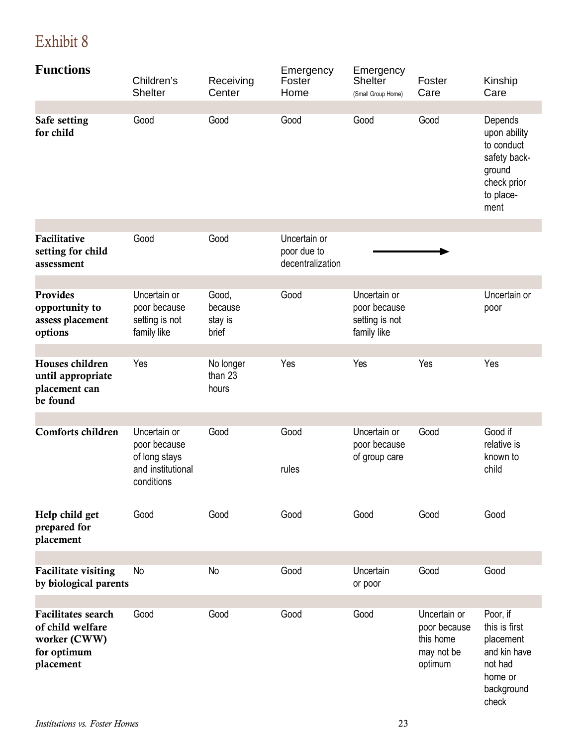# Exhibit 8

| <b>Functions</b>                                                                          | Children's<br><b>Shelter</b>                                                     | Receiving<br>Center                  | Emergency<br>Foster<br>Home                     | Emergency<br>Shelter<br>(Small Group Home)                    | Foster<br>Care                                                     | Kinship<br>Care                                                                                     |
|-------------------------------------------------------------------------------------------|----------------------------------------------------------------------------------|--------------------------------------|-------------------------------------------------|---------------------------------------------------------------|--------------------------------------------------------------------|-----------------------------------------------------------------------------------------------------|
|                                                                                           |                                                                                  |                                      |                                                 |                                                               |                                                                    |                                                                                                     |
| Safe setting<br>for child                                                                 | Good                                                                             | Good                                 | Good                                            | Good                                                          | Good                                                               | Depends<br>upon ability<br>to conduct<br>safety back-<br>ground<br>check prior<br>to place-<br>ment |
|                                                                                           |                                                                                  |                                      |                                                 |                                                               |                                                                    |                                                                                                     |
| Facilitative<br>setting for child<br>assessment                                           | Good                                                                             | Good                                 | Uncertain or<br>poor due to<br>decentralization |                                                               |                                                                    |                                                                                                     |
|                                                                                           |                                                                                  |                                      |                                                 |                                                               |                                                                    |                                                                                                     |
| <b>Provides</b><br>opportunity to<br>assess placement<br>options                          | Uncertain or<br>poor because<br>setting is not<br>family like                    | Good,<br>because<br>stay is<br>brief | Good                                            | Uncertain or<br>poor because<br>setting is not<br>family like |                                                                    | Uncertain or<br>poor                                                                                |
|                                                                                           |                                                                                  |                                      |                                                 |                                                               |                                                                    |                                                                                                     |
| Houses children<br>until appropriate<br>placement can<br>be found                         | Yes                                                                              | No longer<br>than 23<br>hours        | Yes                                             | Yes                                                           | Yes                                                                | Yes                                                                                                 |
|                                                                                           |                                                                                  |                                      |                                                 |                                                               |                                                                    |                                                                                                     |
| <b>Comforts children</b>                                                                  | Uncertain or<br>poor because<br>of long stays<br>and institutional<br>conditions | Good                                 | Good<br>rules                                   | Uncertain or<br>poor because<br>of group care                 | Good                                                               | Good if<br>relative is<br>known to<br>child                                                         |
| Help child get<br>prepared for<br>placement                                               | Good                                                                             | Good                                 | Good                                            | Good                                                          | Good                                                               | Good                                                                                                |
|                                                                                           |                                                                                  |                                      |                                                 |                                                               |                                                                    |                                                                                                     |
| <b>Facilitate visiting</b><br>by biological parents                                       | <b>No</b>                                                                        | No                                   | Good                                            | Uncertain<br>or poor                                          | Good                                                               | Good                                                                                                |
|                                                                                           |                                                                                  |                                      |                                                 |                                                               |                                                                    |                                                                                                     |
| <b>Facilitates</b> search<br>of child welfare<br>worker (CWW)<br>for optimum<br>placement | Good                                                                             | Good                                 | Good                                            | Good                                                          | Uncertain or<br>poor because<br>this home<br>may not be<br>optimum | Poor, if<br>this is first<br>placement<br>and kin have<br>not had<br>home or<br>background          |

check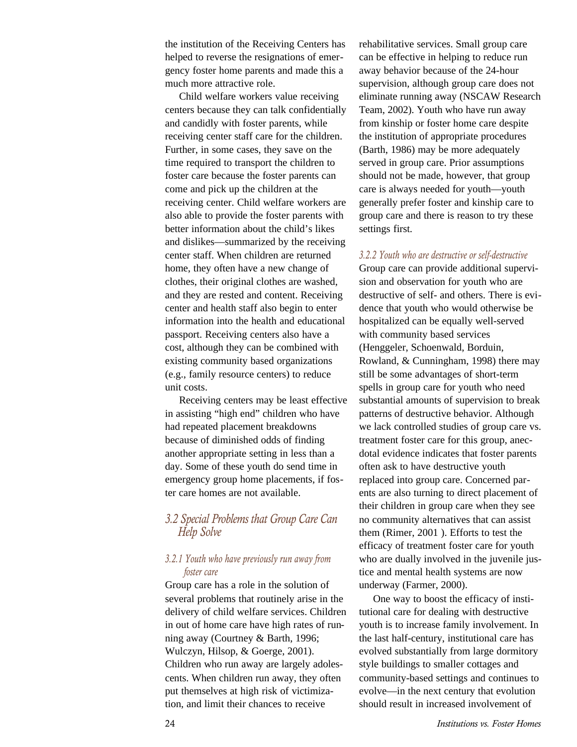the institution of the Receiving Centers has helped to reverse the resignations of emergency foster home parents and made this a much more attractive role.

Child welfare workers value receiving centers because they can talk confidentially and candidly with foster parents, while receiving center staff care for the children. Further, in some cases, they save on the time required to transport the children to foster care because the foster parents can come and pick up the children at the receiving center. Child welfare workers are also able to provide the foster parents with better information about the child's likes and dislikes—summarized by the receiving center staff. When children are returned home, they often have a new change of clothes, their original clothes are washed, and they are rested and content. Receiving center and health staff also begin to enter information into the health and educational passport. Receiving centers also have a cost, although they can be combined with existing community based organizations (e.g., family resource centers) to reduce unit costs.

Receiving centers may be least effective in assisting "high end" children who have had repeated placement breakdowns because of diminished odds of finding another appropriate setting in less than a day. Some of these youth do send time in emergency group home placements, if foster care homes are not available.

#### *3.2 Special Problems that Group Care Can Help Solve*

#### *3.2.1 Youth who have previously run away from foster care*

Group care has a role in the solution of several problems that routinely arise in the delivery of child welfare services. Children in out of home care have high rates of running away (Courtney & Barth, 1996; Wulczyn, Hilsop, & Goerge, 2001). Children who run away are largely adolescents. When children run away, they often put themselves at high risk of victimization, and limit their chances to receive

rehabilitative services. Small group care can be effective in helping to reduce run away behavior because of the 24-hour supervision, although group care does not eliminate running away (NSCAW Research Team, 2002). Youth who have run away from kinship or foster home care despite the institution of appropriate procedures (Barth, 1986) may be more adequately served in group care. Prior assumptions should not be made, however, that group care is always needed for youth—youth generally prefer foster and kinship care to group care and there is reason to try these settings first.

#### *3.2.2 Youth who are destructive or self-destructive*

Group care can provide additional supervision and observation for youth who are destructive of self- and others. There is evidence that youth who would otherwise be hospitalized can be equally well-served with community based services (Henggeler, Schoenwald, Borduin, Rowland, & Cunningham, 1998) there may still be some advantages of short-term spells in group care for youth who need substantial amounts of supervision to break patterns of destructive behavior. Although we lack controlled studies of group care vs. treatment foster care for this group, anecdotal evidence indicates that foster parents often ask to have destructive youth replaced into group care. Concerned parents are also turning to direct placement of their children in group care when they see no community alternatives that can assist them (Rimer, 2001 ). Efforts to test the efficacy of treatment foster care for youth who are dually involved in the juvenile justice and mental health systems are now underway (Farmer, 2000).

One way to boost the efficacy of institutional care for dealing with destructive youth is to increase family involvement. In the last half-century, institutional care has evolved substantially from large dormitory style buildings to smaller cottages and community-based settings and continues to evolve—in the next century that evolution should result in increased involvement of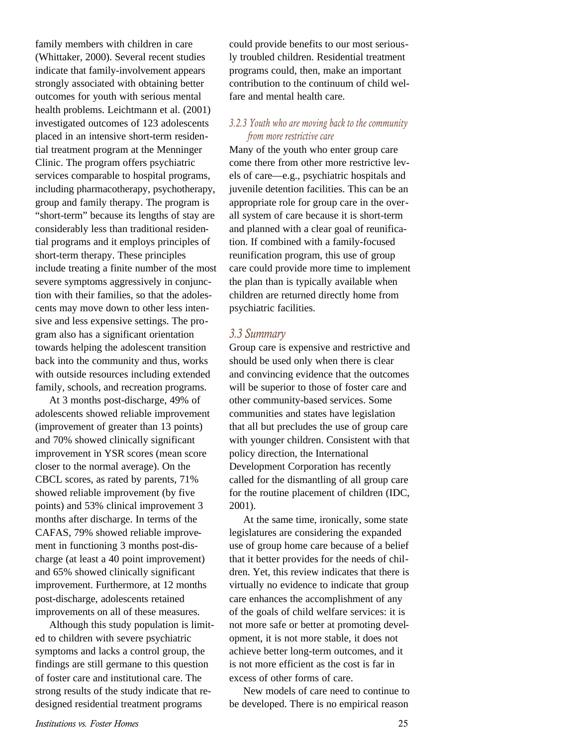family members with children in care (Whittaker, 2000). Several recent studies indicate that family-involvement appears strongly associated with obtaining better outcomes for youth with serious mental health problems. Leichtmann et al. (2001) investigated outcomes of 123 adolescents placed in an intensive short-term residential treatment program at the Menninger Clinic. The program offers psychiatric services comparable to hospital programs, including pharmacotherapy, psychotherapy, group and family therapy. The program is "short-term" because its lengths of stay are considerably less than traditional residential programs and it employs principles of short-term therapy. These principles include treating a finite number of the most severe symptoms aggressively in conjunction with their families, so that the adolescents may move down to other less intensive and less expensive settings. The program also has a significant orientation towards helping the adolescent transition back into the community and thus, works with outside resources including extended family, schools, and recreation programs.

At 3 months post-discharge, 49% of adolescents showed reliable improvement (improvement of greater than 13 points) and 70% showed clinically significant improvement in YSR scores (mean score closer to the normal average). On the CBCL scores, as rated by parents, 71% showed reliable improvement (by five points) and 53% clinical improvement 3 months after discharge. In terms of the CAFAS, 79% showed reliable improvement in functioning 3 months post-discharge (at least a 40 point improvement) and 65% showed clinically significant improvement. Furthermore, at 12 months post-discharge, adolescents retained improvements on all of these measures.

Although this study population is limited to children with severe psychiatric symptoms and lacks a control group, the findings are still germane to this question of foster care and institutional care. The strong results of the study indicate that redesigned residential treatment programs

could provide benefits to our most seriously troubled children. Residential treatment programs could, then, make an important contribution to the continuum of child welfare and mental health care.

#### *3.2.3 Youth who are moving back to the community from more restrictive care*

Many of the youth who enter group care come there from other more restrictive levels of care—e.g., psychiatric hospitals and juvenile detention facilities. This can be an appropriate role for group care in the overall system of care because it is short-term and planned with a clear goal of reunification. If combined with a family-focused reunification program, this use of group care could provide more time to implement the plan than is typically available when children are returned directly home from psychiatric facilities.

#### *3.3 Summary*

Group care is expensive and restrictive and should be used only when there is clear and convincing evidence that the outcomes will be superior to those of foster care and other community-based services. Some communities and states have legislation that all but precludes the use of group care with younger children. Consistent with that policy direction, the International Development Corporation has recently called for the dismantling of all group care for the routine placement of children (IDC, 2001).

At the same time, ironically, some state legislatures are considering the expanded use of group home care because of a belief that it better provides for the needs of children. Yet, this review indicates that there is virtually no evidence to indicate that group care enhances the accomplishment of any of the goals of child welfare services: it is not more safe or better at promoting development, it is not more stable, it does not achieve better long-term outcomes, and it is not more efficient as the cost is far in excess of other forms of care.

New models of care need to continue to be developed. There is no empirical reason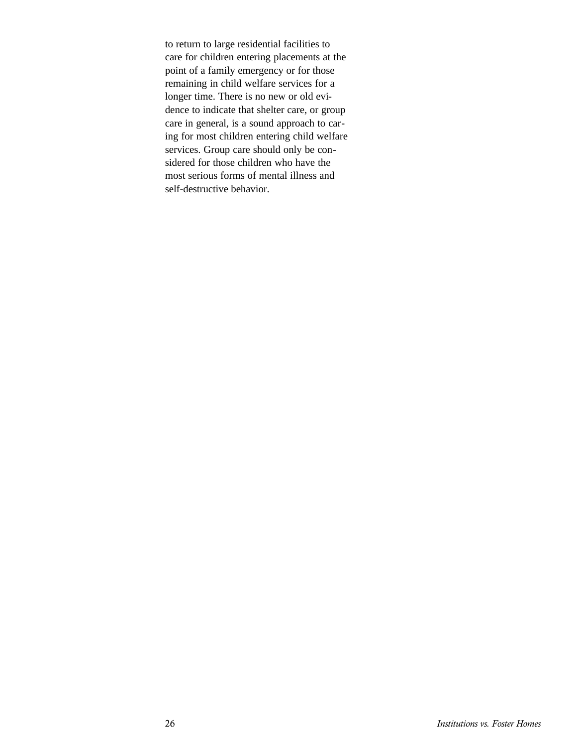to return to large residential facilities to care for children entering placements at the point of a family emergency or for those remaining in child welfare services for a longer time. There is no new or old evidence to indicate that shelter care, or group care in general, is a sound approach to caring for most children entering child welfare services. Group care should only be considered for those children who have the most serious forms of mental illness and self-destructive behavior.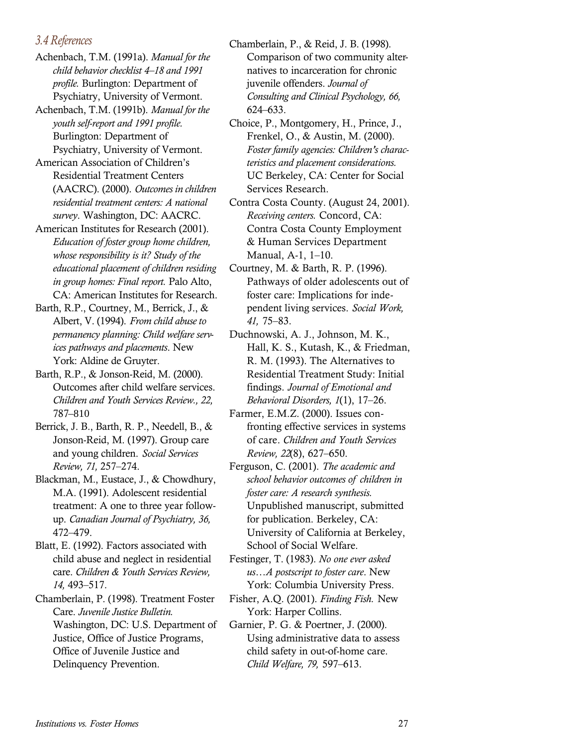#### *3.4 References*

Achenbach, T.M. (1991a). *Manual for the child behavior checklist 4–18 and 1991 profile.* Burlington: Department of Psychiatry, University of Vermont.

Achenbach, T.M. (1991b). *Manual for the youth self-report and 1991 profile.* Burlington: Department of Psychiatry, University of Vermont.

American Association of Children's Residential Treatment Centers (AACRC). (2000). *Outcomes in children residential treatment centers: A national survey*. Washington, DC: AACRC.

American Institutes for Research (2001). *Education of foster group home children, whose responsibility is it? Study of the educational placement of children residing in group homes: Final report.* Palo Alto, CA: American Institutes for Research.

Barth, R.P., Courtney, M., Berrick, J., & Albert, V. (1994). *From child abuse to permanency planning: Child welfare services pathways and placements*. New York: Aldine de Gruyter.

Barth, R.P., & Jonson-Reid, M. (2000). Outcomes after child welfare services. *Children and Youth Services Review., 22,* 787–810

Berrick, J. B., Barth, R. P., Needell, B., & Jonson-Reid, M. (1997). Group care and young children. *Social Services Review, 71,* 257–274.

Blackman, M., Eustace, J., & Chowdhury, M.A. (1991). Adolescent residential treatment: A one to three year followup. *Canadian Journal of Psychiatry, 36,* 472–479.

Blatt, E. (1992). Factors associated with child abuse and neglect in residential care. *Children & Youth Services Review, 14,* 493–517.

Chamberlain, P. (1998). Treatment Foster Care. *Juvenile Justice Bulletin.* Washington, DC: U.S. Department of Justice, Office of Justice Programs, Office of Juvenile Justice and Delinquency Prevention.

Chamberlain, P., & Reid, J. B. (1998). Comparison of two community alternatives to incarceration for chronic juvenile offenders. *Journal of Consulting and Clinical Psychology, 66,* 624–633.

Choice, P., Montgomery, H., Prince, J., Frenkel, O., & Austin, M. (2000). *Foster family agencies: Children's characteristics and placement considerations.* UC Berkeley, CA: Center for Social Services Research.

Contra Costa County. (August 24, 2001). *Receiving centers.* Concord, CA: Contra Costa County Employment & Human Services Department Manual, A-1, 1–10.

Courtney, M. & Barth, R. P. (1996). Pathways of older adolescents out of foster care: Implications for independent living services. *Social Work, 41,* 75–83.

Duchnowski, A. J., Johnson, M. K., Hall, K. S., Kutash, K., & Friedman, R. M. (1993). The Alternatives to Residential Treatment Study: Initial findings. *Journal of Emotional and Behavioral Disorders, 1*(1), 17–26.

Farmer, E.M.Z. (2000). Issues confronting effective services in systems of care. *Children and Youth Services Review, 22*(8), 627–650.

Ferguson, C. (2001). *The academic and school behavior outcomes of children in foster care: A research synthesis.* Unpublished manuscript, submitted for publication. Berkeley, CA: University of California at Berkeley, School of Social Welfare.

Festinger, T. (1983). *No one ever asked us…A postscript to foster care*. New York: Columbia University Press.

Fisher, A.Q. (2001). *Finding Fish.* New York: Harper Collins.

Garnier, P. G. & Poertner, J. (2000). Using administrative data to assess child safety in out-of-home care. *Child Welfare, 79,* 597–613.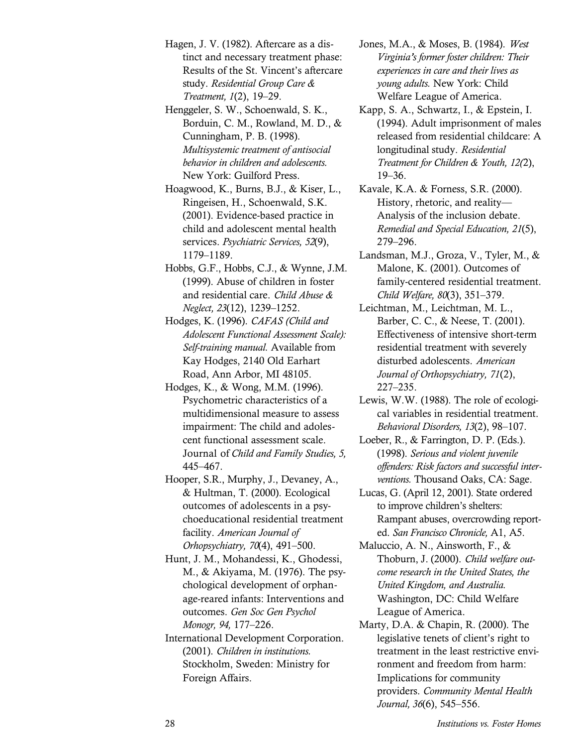Hagen, J. V. (1982). Aftercare as a distinct and necessary treatment phase: Results of the St. Vincent's aftercare study. *Residential Group Care & Treatment, 1*(2), 19–29.

Henggeler, S. W., Schoenwald, S. K., Borduin, C. M., Rowland, M. D., & Cunningham, P. B. (1998). *Multisystemic treatment of antisocial behavior in children and adolescents.* New York: Guilford Press.

Hoagwood, K., Burns, B.J., & Kiser, L., Ringeisen, H., Schoenwald, S.K. (2001). Evidence-based practice in child and adolescent mental health services. *Psychiatric Services, 52*(9), 1179–1189.

- Hobbs, G.F., Hobbs, C.J., & Wynne, J.M. (1999). Abuse of children in foster and residential care. *Child Abuse & Neglect, 23*(12), 1239–1252.
- Hodges, K. (1996). *CAFAS (Child and Adolescent Functional Assessment Scale): Self-training manual.* Available from Kay Hodges, 2140 Old Earhart Road, Ann Arbor, MI 48105.
- Hodges, K., & Wong, M.M. (1996). Psychometric characteristics of a multidimensional measure to assess impairment: The child and adolescent functional assessment scale. Journal of *Child and Family Studies, 5,* 445–467.
- Hooper, S.R., Murphy, J., Devaney, A., & Hultman, T. (2000). Ecological outcomes of adolescents in a psychoeducational residential treatment facility. *American Journal of Orhopsychiatry, 70*(4), 491–500.
- Hunt, J. M., Mohandessi, K., Ghodessi, M., & Akiyama, M. (1976). The psychological development of orphanage-reared infants: Interventions and outcomes. *Gen Soc Gen Psychol Monogr, 94,* 177–226.
- International Development Corporation. (2001). *Children in institutions.* Stockholm, Sweden: Ministry for Foreign Affairs.
- Jones, M.A., & Moses, B. (1984). *West Virginia's former foster children: Their experiences in care and their lives as young adults.* New York: Child Welfare League of America.
- Kapp, S. A., Schwartz, I., & Epstein, I. (1994). Adult imprisonment of males released from residential childcare: A longitudinal study. *Residential Treatment for Children & Youth, 12(*2), 19–36.
- Kavale, K.A. & Forness, S.R. (2000). History, rhetoric, and reality— Analysis of the inclusion debate. *Remedial and Special Education, 21*(5), 279–296.
- Landsman, M.J., Groza, V., Tyler, M., & Malone, K. (2001). Outcomes of family-centered residential treatment. *Child Welfare, 80*(3), 351–379.
- Leichtman, M., Leichtman, M. L., Barber, C. C., & Neese, T. (2001). Effectiveness of intensive short-term residential treatment with severely disturbed adolescents. *American Journal of Orthopsychiatry, 71*(2), 227–235.
- Lewis, W.W. (1988). The role of ecological variables in residential treatment. *Behavioral Disorders, 13*(2), 98–107.
- Loeber, R., & Farrington, D. P. (Eds.). (1998). *Serious and violent juvenile offenders: Risk factors and successful interventions.* Thousand Oaks, CA: Sage.
- Lucas, G. (April 12, 2001). State ordered to improve children's shelters: Rampant abuses, overcrowding reported. *San Francisco Chronicle,* A1, A5.

Maluccio, A. N., Ainsworth, F., & Thoburn, J. (2000). *Child welfare outcome research in the United States, the United Kingdom, and Australia.* Washington, DC: Child Welfare League of America.

Marty, D.A. & Chapin, R. (2000). The legislative tenets of client's right to treatment in the least restrictive environment and freedom from harm: Implications for community providers. *Community Mental Health Journal, 36*(6), 545–556.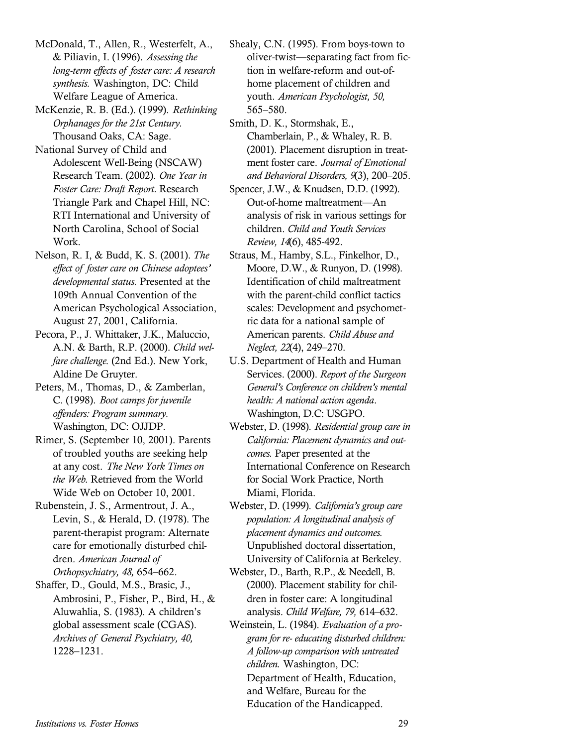McDonald, T., Allen, R., Westerfelt, A., & Piliavin, I. (1996). *Assessing the long-term effects of foster care: A research synthesis.* Washington, DC: Child Welfare League of America.

McKenzie, R. B. (Ed.). (1999). *Rethinking Orphanages for the 21st Century.* Thousand Oaks, CA: Sage.

National Survey of Child and Adolescent Well-Being (NSCAW) Research Team. (2002). *One Year in Foster Care: Draft Report.* Research Triangle Park and Chapel Hill, NC: RTI International and University of North Carolina, School of Social Work.

Nelson, R. I, & Budd, K. S. (2001). *The effect of foster care on Chinese adoptees' developmental status.* Presented at the 109th Annual Convention of the American Psychological Association, August 27, 2001, California.

Pecora, P., J. Whittaker, J.K., Maluccio, A.N. & Barth, R.P. (2000). *Child welfare challenge*. (2nd Ed.). New York, Aldine De Gruyter.

Peters, M., Thomas, D., & Zamberlan, C. (1998). *Boot camps for juvenile offenders: Program summary.* Washington, DC: OJJDP.

Rimer, S. (September 10, 2001). Parents of troubled youths are seeking help at any cost. *The New York Times on the Web*. Retrieved from the World Wide Web on October 10, 2001.

Rubenstein, J. S., Armentrout, J. A., Levin, S., & Herald, D. (1978). The parent-therapist program: Alternate care for emotionally disturbed children. *American Journal of Orthopsychiatry, 48,* 654–662.

Shaffer, D., Gould, M.S., Brasic, J., Ambrosini, P., Fisher, P., Bird, H., & Aluwahlia, S. (1983). A children's global assessment scale (CGAS). *Archives of General Psychiatry, 40,* 1228–1231.

Shealy, C.N. (1995). From boys-town to oliver-twist—separating fact from fiction in welfare-reform and out-ofhome placement of children and youth. *American Psychologist, 50,* 565–580.

Smith, D. K., Stormshak, E., Chamberlain, P., & Whaley, R. B. (2001). Placement disruption in treatment foster care. *Journal of Emotional and Behavioral Disorders, 9*(3), 200–205.

Spencer, J.W., & Knudsen, D.D. (1992). Out-of-home maltreatment—An analysis of risk in various settings for children. *Child and Youth Services Review, 14*(6), 485-492.

Straus, M., Hamby, S.L., Finkelhor, D., Moore, D.W., & Runyon, D. (1998). Identification of child maltreatment with the parent-child conflict tactics scales: Development and psychometric data for a national sample of American parents. *Child Abuse and Neglect, 22*(4), 249–270.

U.S. Department of Health and Human Services. (2000). *Report of the Surgeon General's Conference on children's mental health: A national action agenda*. Washington, D.C: USGPO.

Webster, D. (1998). *Residential group care in California: Placement dynamics and outcomes.* Paper presented at the International Conference on Research for Social Work Practice, North Miami, Florida.

Webster, D. (1999). *California's group care population: A longitudinal analysis of placement dynamics and outcomes.* Unpublished doctoral dissertation, University of California at Berkeley.

Webster, D., Barth, R.P., & Needell, B. (2000). Placement stability for children in foster care: A longitudinal analysis. *Child Welfare, 79,* 614–632.

Weinstein, L. (1984). *Evaluation of a program for re- educating disturbed children: A follow-up comparison with untreated children.* Washington, DC: Department of Health, Education, and Welfare, Bureau for the Education of the Handicapped.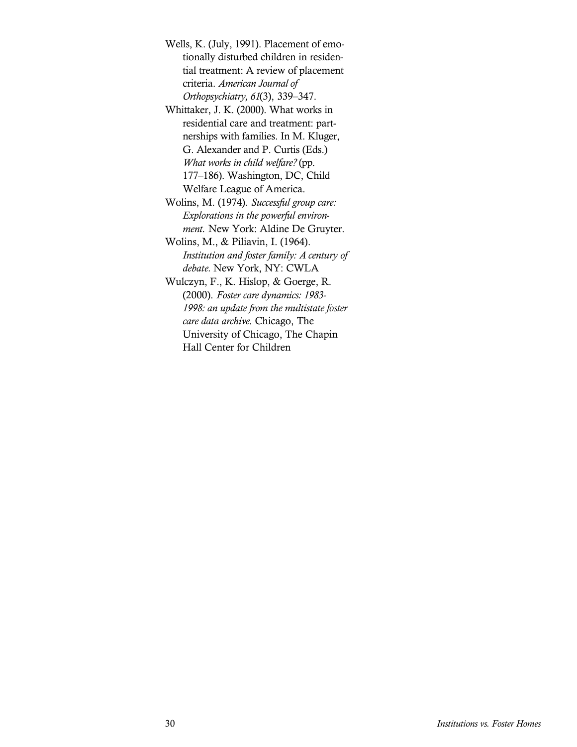Wells, K. (July, 1991). Placement of emotionally disturbed children in residential treatment: A review of placement criteria. *American Journal of Orthopsychiatry, 61*(3), 339–347.

Whittaker, J. K. (2000). What works in residential care and treatment: partnerships with families. In M. Kluger, G. Alexander and P. Curtis (Eds.) *What works in child welfare?* (pp. 177–186). Washington, DC, Child Welfare League of America.

Wolins, M. (1974). *Successful group care: Explorations in the powerful environment.* New York: Aldine De Gruyter.

Wolins, M., & Piliavin, I. (1964). *Institution and foster family: A century of debate.* New York, NY: CWLA

Wulczyn, F., K. Hislop, & Goerge, R. (2000). *Foster care dynamics: 1983- 1998: an update from the multistate foster care data archive*. Chicago, The University of Chicago, The Chapin Hall Center for Children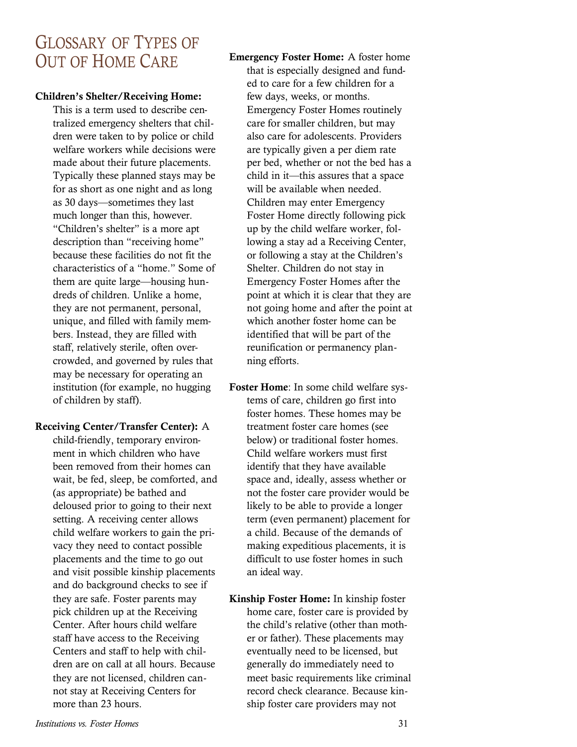# GLOSSARY OF TYPES OF OUT OF HOME CARE

#### **Children's Shelter/Receiving Home:**

This is a term used to describe centralized emergency shelters that children were taken to by police or child welfare workers while decisions were made about their future placements. Typically these planned stays may be for as short as one night and as long as 30 days—sometimes they last much longer than this, however. "Children's shelter" is a more apt description than "receiving home" because these facilities do not fit the characteristics of a "home." Some of them are quite large—housing hundreds of children. Unlike a home, they are not permanent, personal, unique, and filled with family members. Instead, they are filled with staff, relatively sterile, often overcrowded, and governed by rules that may be necessary for operating an institution (for example, no hugging of children by staff).

#### **Receiving Center/Transfer Center):** A

child-friendly, temporary environment in which children who have been removed from their homes can wait, be fed, sleep, be comforted, and (as appropriate) be bathed and deloused prior to going to their next setting. A receiving center allows child welfare workers to gain the privacy they need to contact possible placements and the time to go out and visit possible kinship placements and do background checks to see if they are safe. Foster parents may pick children up at the Receiving Center. After hours child welfare staff have access to the Receiving Centers and staff to help with children are on call at all hours. Because they are not licensed, children cannot stay at Receiving Centers for more than 23 hours.

**Emergency Foster Home:** A foster home that is especially designed and funded to care for a few children for a few days, weeks, or months. Emergency Foster Homes routinely care for smaller children, but may also care for adolescents. Providers are typically given a per diem rate per bed, whether or not the bed has a child in it—this assures that a space will be available when needed. Children may enter Emergency Foster Home directly following pick up by the child welfare worker, following a stay ad a Receiving Center, or following a stay at the Children's Shelter. Children do not stay in Emergency Foster Homes after the point at which it is clear that they are not going home and after the point at which another foster home can be identified that will be part of the reunification or permanency planning efforts.

- **Foster Home**: In some child welfare systems of care, children go first into foster homes. These homes may be treatment foster care homes (see below) or traditional foster homes. Child welfare workers must first identify that they have available space and, ideally, assess whether or not the foster care provider would be likely to be able to provide a longer term (even permanent) placement for a child. Because of the demands of making expeditious placements, it is difficult to use foster homes in such an ideal way.
- **Kinship Foster Home:** In kinship foster home care, foster care is provided by the child's relative (other than mother or father). These placements may eventually need to be licensed, but generally do immediately need to meet basic requirements like criminal record check clearance. Because kinship foster care providers may not